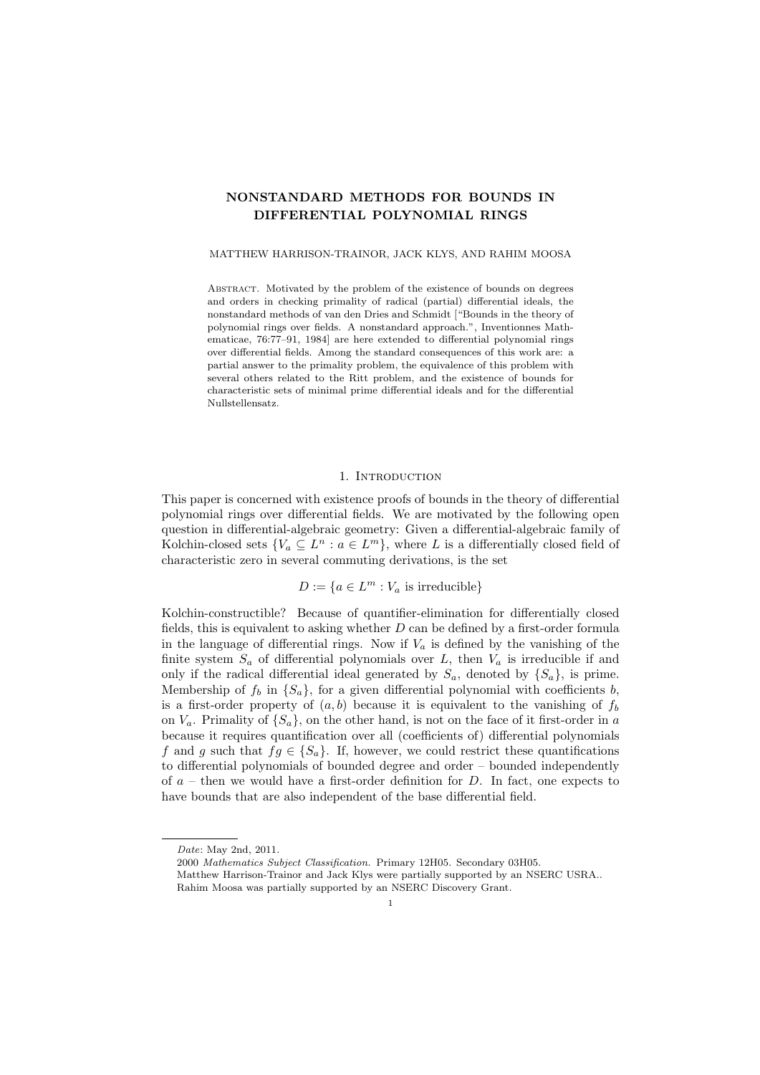# NONSTANDARD METHODS FOR BOUNDS IN DIFFERENTIAL POLYNOMIAL RINGS

### MATTHEW HARRISON-TRAINOR, JACK KLYS, AND RAHIM MOOSA

ABSTRACT. Motivated by the problem of the existence of bounds on degrees and orders in checking primality of radical (partial) differential ideals, the nonstandard methods of van den Dries and Schmidt ["Bounds in the theory of polynomial rings over fields. A nonstandard approach.", Inventionnes Mathematicae, 76:77–91, 1984] are here extended to differential polynomial rings over differential fields. Among the standard consequences of this work are: a partial answer to the primality problem, the equivalence of this problem with several others related to the Ritt problem, and the existence of bounds for characteristic sets of minimal prime differential ideals and for the differential Nullstellensatz.

### 1. INTRODUCTION

This paper is concerned with existence proofs of bounds in the theory of differential polynomial rings over differential fields. We are motivated by the following open question in differential-algebraic geometry: Given a differential-algebraic family of Kolchin-closed sets  $\{V_a \subseteq L^n : a \in L^m\}$ , where L is a differentially closed field of characteristic zero in several commuting derivations, is the set

$$
D := \{ a \in L^m : V_a \text{ is irreducible} \}
$$

Kolchin-constructible? Because of quantifier-elimination for differentially closed fields, this is equivalent to asking whether  $D$  can be defined by a first-order formula in the language of differential rings. Now if  $V_a$  is defined by the vanishing of the finite system  $S_a$  of differential polynomials over  $L$ , then  $V_a$  is irreducible if and only if the radical differential ideal generated by  $S_a$ , denoted by  $\{S_a\}$ , is prime. Membership of  $f_b$  in  $\{S_a\}$ , for a given differential polynomial with coefficients b, is a first-order property of  $(a, b)$  because it is equivalent to the vanishing of  $f_b$ on  $V_a$ . Primality of  $\{S_a\}$ , on the other hand, is not on the face of it first-order in a because it requires quantification over all (coefficients of) differential polynomials f and g such that  $fg \in \{S_a\}$ . If, however, we could restrict these quantifications to differential polynomials of bounded degree and order – bounded independently of  $a$  – then we would have a first-order definition for D. In fact, one expects to have bounds that are also independent of the base differential field.

Date: May 2nd, 2011.

<sup>2000</sup> Mathematics Subject Classification. Primary 12H05. Secondary 03H05.

Matthew Harrison-Trainor and Jack Klys were partially supported by an NSERC USRA.. Rahim Moosa was partially supported by an NSERC Discovery Grant.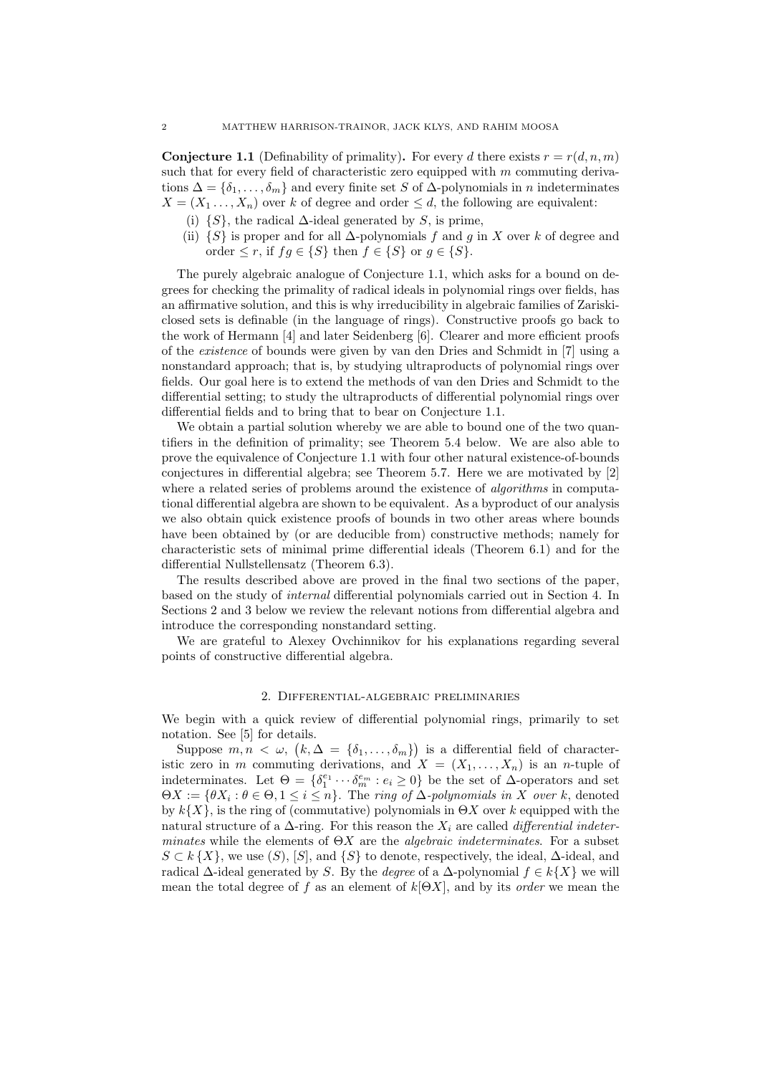**Conjecture 1.1** (Definability of primality). For every d there exists  $r = r(d, n, m)$ such that for every field of characteristic zero equipped with  $m$  commuting derivations  $\Delta = \{\delta_1, \ldots, \delta_m\}$  and every finite set S of  $\Delta$ -polynomials in n indeterminates  $X = (X_1, \ldots, X_n)$  over k of degree and order  $\leq d$ , the following are equivalent:

- (i)  $\{S\}$ , the radical  $\Delta$ -ideal generated by S, is prime,
- (ii)  $\{S\}$  is proper and for all  $\Delta$ -polynomials f and g in X over k of degree and order  $\leq r$ , if  $fg \in \{S\}$  then  $f \in \{S\}$  or  $g \in \{S\}$ .

The purely algebraic analogue of Conjecture 1.1, which asks for a bound on degrees for checking the primality of radical ideals in polynomial rings over fields, has an affirmative solution, and this is why irreducibility in algebraic families of Zariskiclosed sets is definable (in the language of rings). Constructive proofs go back to the work of Hermann [4] and later Seidenberg [6]. Clearer and more efficient proofs of the existence of bounds were given by van den Dries and Schmidt in [7] using a nonstandard approach; that is, by studying ultraproducts of polynomial rings over fields. Our goal here is to extend the methods of van den Dries and Schmidt to the differential setting; to study the ultraproducts of differential polynomial rings over differential fields and to bring that to bear on Conjecture 1.1.

We obtain a partial solution whereby we are able to bound one of the two quantifiers in the definition of primality; see Theorem 5.4 below. We are also able to prove the equivalence of Conjecture 1.1 with four other natural existence-of-bounds conjectures in differential algebra; see Theorem 5.7. Here we are motivated by [2] where a related series of problems around the existence of *algorithms* in computational differential algebra are shown to be equivalent. As a byproduct of our analysis we also obtain quick existence proofs of bounds in two other areas where bounds have been obtained by (or are deducible from) constructive methods; namely for characteristic sets of minimal prime differential ideals (Theorem 6.1) and for the differential Nullstellensatz (Theorem 6.3).

The results described above are proved in the final two sections of the paper, based on the study of internal differential polynomials carried out in Section 4. In Sections 2 and 3 below we review the relevant notions from differential algebra and introduce the corresponding nonstandard setting.

We are grateful to Alexey Ovchinnikov for his explanations regarding several points of constructive differential algebra.

## 2. Differential-algebraic preliminaries

We begin with a quick review of differential polynomial rings, primarily to set notation. See [5] for details.

Suppose  $m, n \leq \omega$ ,  $(k, \Delta = {\delta_1, \ldots, \delta_m}$  is a differential field of characteristic zero in m commuting derivations, and  $X = (X_1, \ldots, X_n)$  is an n-tuple of indeterminates. Let  $\Theta = \{\delta_1^{e_1} \cdots \delta_m^{e_m} : e_i \ge 0\}$  be the set of  $\Delta$ -operators and set  $\Theta X := \{ \theta X_i : \theta \in \Theta, 1 \leq i \leq n \}.$  The ring of  $\Delta$ -polynomials in X over k, denoted by  $k{X}$ , is the ring of (commutative) polynomials in  $\Theta X$  over k equipped with the natural structure of a  $\Delta$ -ring. For this reason the  $X_i$  are called *differential indeter*minates while the elements of  $\Theta X$  are the *algebraic indeterminates*. For a subset  $S \subset k\{X\}$ , we use  $(S)$ ,  $[S]$ , and  $\{S\}$  to denote, respectively, the ideal,  $\Delta$ -ideal, and radical  $\Delta$ -ideal generated by S. By the *degree* of a  $\Delta$ -polynomial  $f \in k\{X\}$  we will mean the total degree of f as an element of  $k[ΘX]$ , and by its *order* we mean the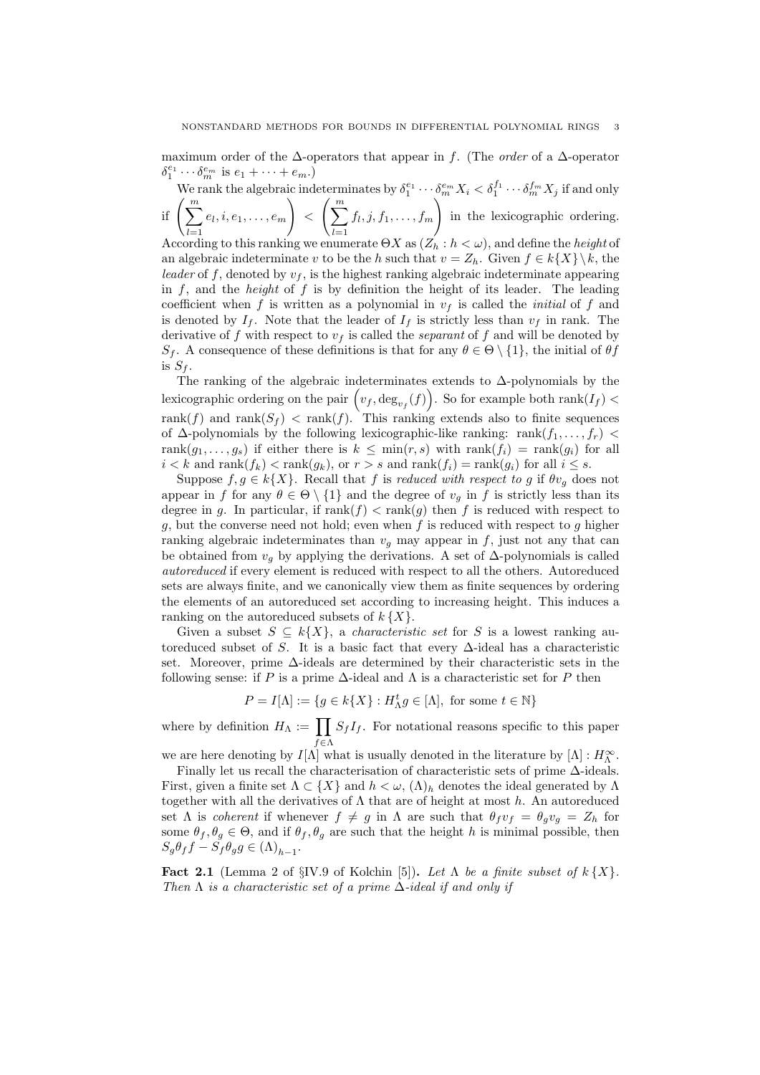maximum order of the  $\Delta$ -operators that appear in f. (The *order* of a  $\Delta$ -operator  $\delta_1^{e_1} \cdots \delta_m^{e_m}$  is  $e_1 + \cdots + e_m$ .) 1

We rank the algebraic indeterminates by  $\delta_1^{e_1}\cdots\delta_m^{e_m}X_i<\delta_1^{f_1}\cdots\delta_m^{f_m}X_j$  if and only if  $\left(\sum_{i=1}^m\right)^m$  $_{l=1}$  $e_l, i, e_1, \ldots, e_m$  $\setminus$  $\langle \int_{0}^{m}$  $l=1$  $f_l, j, f_1, \ldots, f_m$  $\setminus$ in the lexicographic ordering.

According to this ranking we enumerate  $\Theta X$  as  $(Z_h : h < \omega)$ , and define the *height* of an algebraic indeterminate v to be the h such that  $v = Z_h$ . Given  $f \in k\{X\} \backslash k$ , the leader of f, denoted by  $v_f$ , is the highest ranking algebraic indeterminate appearing in  $f$ , and the *height* of  $f$  is by definition the height of its leader. The leading coefficient when f is written as a polynomial in  $v_f$  is called the *initial* of f and is denoted by  $I_f$ . Note that the leader of  $I_f$  is strictly less than  $v_f$  in rank. The derivative of f with respect to  $v_f$  is called the *separant* of f and will be denoted by  $S_f$ . A consequence of these definitions is that for any  $\theta \in \Theta \setminus \{1\}$ , the initial of  $\theta f$ is  $S_f$ .

The ranking of the algebraic indeterminates extends to ∆-polynomials by the lexicographic ordering on the pair  $(v_f, \text{deg}_{v_f}(f))$ . So for example both rank $(I_f)$ rank $(f)$  and rank $(S_f)$  < rank $(f)$ . This ranking extends also to finite sequences of  $\Delta$ -polynomials by the following lexicographic-like ranking: rank $(f_1, \ldots, f_r)$ rank $(g_1, \ldots, g_s)$  if either there is  $k \leq \min(r, s)$  with rank $(f_i) = \text{rank}(g_i)$  for all  $i < k$  and rank $(f_k) < \text{rank}(g_k)$ , or  $r > s$  and  $\text{rank}(f_i) = \text{rank}(g_i)$  for all  $i \leq s$ .

Suppose  $f, g \in k\{X\}$ . Recall that f is reduced with respect to g if  $\theta v_g$  does not appear in f for any  $\theta \in \Theta \setminus \{1\}$  and the degree of  $v_g$  in f is strictly less than its degree in g. In particular, if  $rank(f) < rank(g)$  then f is reduced with respect to g, but the converse need not hold; even when  $f$  is reduced with respect to  $g$  higher ranking algebraic indeterminates than  $v<sub>g</sub>$  may appear in f, just not any that can be obtained from  $v_q$  by applying the derivations. A set of  $\Delta$ -polynomials is called autoreduced if every element is reduced with respect to all the others. Autoreduced sets are always finite, and we canonically view them as finite sequences by ordering the elements of an autoreduced set according to increasing height. This induces a ranking on the autoreduced subsets of  $k\{X\}$ .

Given a subset  $S \subseteq k\{X\}$ , a *characteristic set* for S is a lowest ranking autoreduced subset of S. It is a basic fact that every  $\Delta$ -ideal has a characteristic set. Moreover, prime ∆-ideals are determined by their characteristic sets in the following sense: if P is a prime  $\Delta$ -ideal and  $\Lambda$  is a characteristic set for P then

$$
P = I[\Lambda] := \{ g \in k\{X\} : H_{\Lambda}^t g \in [\Lambda], \text{ for some } t \in \mathbb{N} \}
$$

where by definition  $H_{\Lambda} := \prod$  $f \in \Lambda$  $S_f I_f$ . For notational reasons specific to this paper

we are here denoting by  $I[\Lambda]$  what is usually denoted in the literature by  $[\Lambda] : H_{\Lambda}^{\infty}$ . Finally let us recall the characterisation of characteristic sets of prime ∆-ideals. First, given a finite set  $\Lambda \subset \{X\}$  and  $h < \omega$ ,  $(\Lambda)_h$  denotes the ideal generated by  $\Lambda$ together with all the derivatives of  $\Lambda$  that are of height at most h. An autoreduced set Λ is *coherent* if whenever  $f \neq g$  in Λ are such that  $\theta_f v_f = \theta_g v_g = Z_h$  for some  $\theta_f, \theta_g \in \Theta$ , and if  $\theta_f, \theta_g$  are such that the height h is minimal possible, then  $S_g \theta_f f - S_f \theta_g g \in (\Lambda)_{h-1}.$ 

Fact 2.1 (Lemma 2 of §IV.9 of Kolchin [5]). Let  $\Lambda$  be a finite subset of  $k\{X\}$ . Then  $\Lambda$  is a characteristic set of a prime  $\Delta$ -ideal if and only if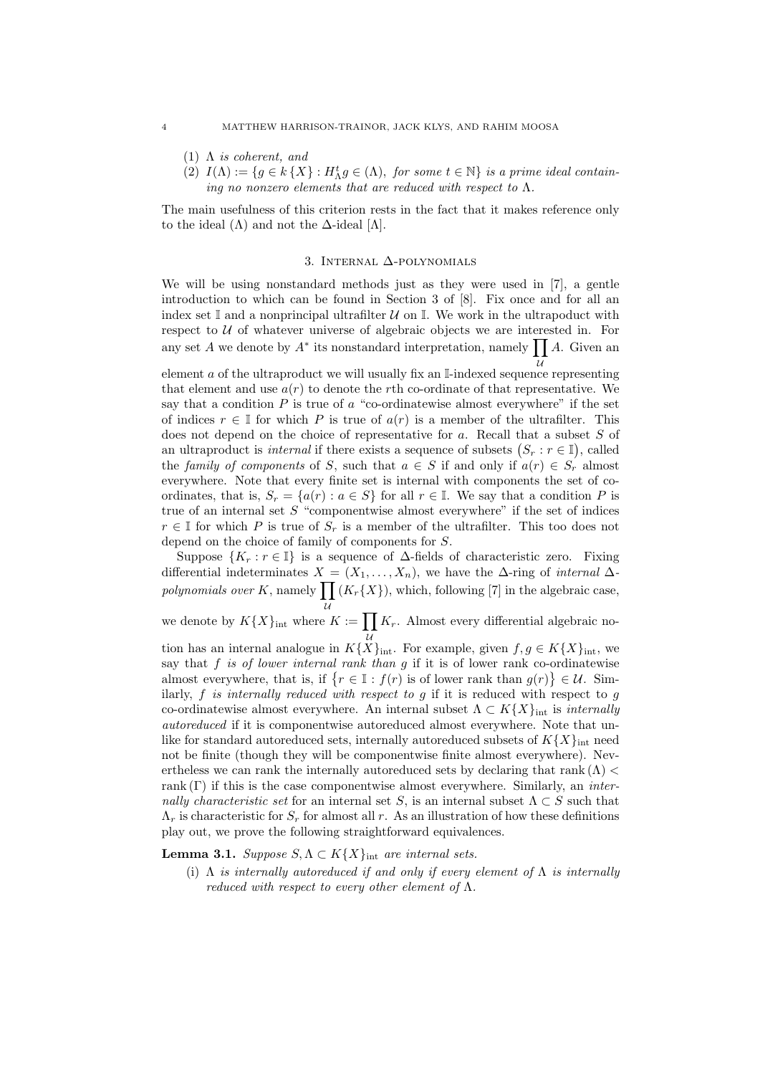- (1)  $\Lambda$  is coherent, and
- (2)  $I(\Lambda) := \{ g \in k \{ X \} : H_{\Lambda}^t g \in (\Lambda) \text{, for some } t \in \mathbb{N} \}$  is a prime ideal containing no nonzero elements that are reduced with respect to  $\Lambda$ .

The main usefulness of this criterion rests in the fact that it makes reference only to the ideal  $(\Lambda)$  and not the  $\Delta$ -ideal  $[\Lambda]$ .

#### 3. Internal ∆-polynomials

We will be using nonstandard methods just as they were used in [7], a gentle introduction to which can be found in Section 3 of [8]. Fix once and for all an index set  $\mathbb I$  and a nonprincipal ultrafilter  $\mathcal U$  on  $\mathbb I$ . We work in the ultrapoduct with respect to  $U$  of whatever universe of algebraic objects we are interested in. For any set A we denote by  $A^*$  its nonstandard interpretation, namely  $\prod A$ . Given an

element *a* of the ultraproduct we will usually fix an I-indexed sequence representing that element and use  $a(r)$  to denote the rth co-ordinate of that representative. We say that a condition  $P$  is true of  $\alpha$  "co-ordinatewise almost everywhere" if the set of indices  $r \in \mathbb{I}$  for which P is true of  $a(r)$  is a member of the ultrafilter. This does not depend on the choice of representative for a. Recall that a subset S of an ultraproduct is *internal* if there exists a sequence of subsets  $(S_r : r \in \mathbb{I})$ , called the family of components of S, such that  $a \in S$  if and only if  $a(r) \in S_r$  almost everywhere. Note that every finite set is internal with components the set of coordinates, that is,  $S_r = \{a(r) : a \in S\}$  for all  $r \in \mathbb{I}$ . We say that a condition P is true of an internal set  $S$  "componentwise almost everywhere" if the set of indices  $r \in \mathbb{I}$  for which P is true of  $S_r$  is a member of the ultrafilter. This too does not depend on the choice of family of components for S.

Suppose  $\{K_r : r \in \mathbb{I}\}\$ is a sequence of  $\Delta$ -fields of characteristic zero. Fixing differential indeterminates  $X = (X_1, \ldots, X_n)$ , we have the  $\Delta$ -ring of *internal*  $\Delta$ polynomials over K, namely  $\prod (K_r\{X\})$ , which, following [7] in the algebraic case,

we denote by  $K\{X\}_{\text{int}}$  where  $K := \prod K_r$ . Almost every differential algebraic no-

tion has an internal analogue in  $K{X}_{int}$ . For example, given  $f, g \in K{X}_{int}$ , we say that  $f$  is of lower internal rank than  $g$  if it is of lower rank co-ordinatewise almost everywhere, that is, if  $\{r \in \mathbb{I} : f(r) \text{ is of lower rank than } g(r)\} \in \mathcal{U}$ . Similarly,  $f$  is internally reduced with respect to  $g$  if it is reduced with respect to  $g$ co-ordinatewise almost everywhere. An internal subset  $\Lambda \subset K\{X\}_{\text{int}}$  is *internally* autoreduced if it is componentwise autoreduced almost everywhere. Note that unlike for standard autoreduced sets, internally autoreduced subsets of  $K{X}_{int}$  need not be finite (though they will be componentwise finite almost everywhere). Nevertheless we can rank the internally autoreduced sets by declaring that rank  $(\Lambda)$ rank  $(\Gamma)$  if this is the case componentwise almost everywhere. Similarly, an *inter*nally characteristic set for an internal set S, is an internal subset  $\Lambda \subset S$  such that  $\Lambda_r$  is characteristic for  $S_r$  for almost all r. As an illustration of how these definitions play out, we prove the following straightforward equivalences.

**Lemma 3.1.** Suppose  $S, \Lambda \subset K\{X\}_{\text{int}}$  are internal sets.

(i)  $\Lambda$  is internally autoreduced if and only if every element of  $\Lambda$  is internally reduced with respect to every other element of  $\Lambda$ .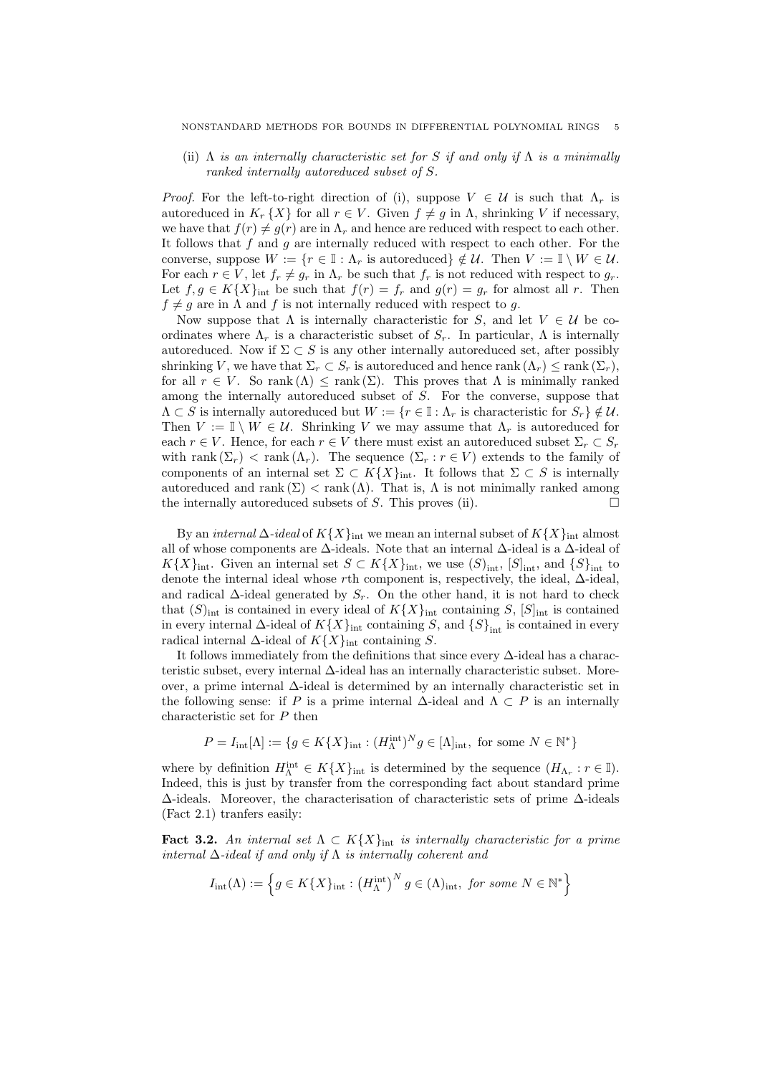(ii)  $\Lambda$  is an internally characteristic set for S if and only if  $\Lambda$  is a minimally ranked internally autoreduced subset of S.

*Proof.* For the left-to-right direction of (i), suppose  $V \in \mathcal{U}$  is such that  $\Lambda_r$  is autoreduced in  $K_r\{X\}$  for all  $r \in V$ . Given  $f \neq g$  in  $\Lambda$ , shrinking V if necessary, we have that  $f(r) \neq g(r)$  are in  $\Lambda_r$  and hence are reduced with respect to each other. It follows that  $f$  and  $g$  are internally reduced with respect to each other. For the converse, suppose  $W := \{r \in \mathbb{I} : \Lambda_r \text{ is autoreduced}\}\notin \mathcal{U}$ . Then  $V := \mathbb{I} \setminus W \in \mathcal{U}$ . For each  $r \in V$ , let  $f_r \neq g_r$  in  $\Lambda_r$  be such that  $f_r$  is not reduced with respect to  $g_r$ . Let  $f, g \in K\{X\}_{\text{int}}$  be such that  $f(r) = f_r$  and  $g(r) = g_r$  for almost all r. Then  $f \neq g$  are in  $\Lambda$  and f is not internally reduced with respect to g.

Now suppose that  $\Lambda$  is internally characteristic for S, and let  $V \in \mathcal{U}$  be coordinates where  $\Lambda_r$  is a characteristic subset of  $S_r$ . In particular,  $\Lambda$  is internally autoreduced. Now if  $\Sigma \subset S$  is any other internally autoreduced set, after possibly shrinking V, we have that  $\Sigma_r \subset S_r$  is autoreduced and hence rank  $(\Lambda_r) \leq \text{rank}(\Sigma_r)$ , for all  $r \in V$ . So rank  $(\Lambda) \leq$  rank  $(\Sigma)$ . This proves that  $\Lambda$  is minimally ranked among the internally autoreduced subset of S. For the converse, suppose that  $\Lambda \subset S$  is internally autoreduced but  $W := \{r \in \mathbb{I} : \Lambda_r$  is characteristic for  $S_r\} \notin \mathcal{U}$ . Then  $V := \mathbb{I} \setminus W \in \mathcal{U}$ . Shrinking V we may assume that  $\Lambda_r$  is autoreduced for each  $r \in V$ . Hence, for each  $r \in V$  there must exist an autoreduced subset  $\Sigma_r \subset S_r$ with rank  $(\Sigma_r)$  < rank  $(\Lambda_r)$ . The sequence  $(\Sigma_r : r \in V)$  extends to the family of components of an internal set  $\Sigma \subset K\{X\}_{\text{int}}$ . It follows that  $\Sigma \subset S$  is internally autoreduced and rank  $(\Sigma) < \text{rank}(\Lambda)$ . That is,  $\Lambda$  is not minimally ranked among the internally autoreduced subsets of  $S$ . This proves (ii).

By an internal  $\Delta$ -ideal of  $K{X}_{\text{int}}$  we mean an internal subset of  $K{X}_{\text{int}}$  almost all of whose components are ∆-ideals. Note that an internal ∆-ideal is a ∆-ideal of  $K{X}_{\text{int}}$ . Given an internal set  $S \subset K{X}_{\text{int}}$ , we use  $(S)_{\text{int}}$ ,  $[S]_{\text{int}}$ , and  $\{S\}_{\text{int}}$  to denote the internal ideal whose rth component is, respectively, the ideal, ∆-ideal, and radical  $\Delta$ -ideal generated by  $S_r$ . On the other hand, it is not hard to check that  $(S)_{\text{int}}$  is contained in every ideal of  $K\{X\}_{\text{int}}$  containing S,  $[S]_{\text{int}}$  is contained in every internal  $\Delta$ -ideal of  $K\{X\}_{\text{int}}$  containing S, and  $\{S\}_{\text{int}}$  is contained in every radical internal  $\Delta$ -ideal of  $K\{X\}_{\text{int}}$  containing S.

It follows immediately from the definitions that since every ∆-ideal has a characteristic subset, every internal  $\Delta$ -ideal has an internally characteristic subset. Moreover, a prime internal ∆-ideal is determined by an internally characteristic set in the following sense: if P is a prime internal  $\Delta$ -ideal and  $\Lambda \subset P$  is an internally characteristic set for P then

$$
P = I_{\text{int}}[\Lambda] := \{ g \in K\{X\}_{\text{int}} : (H_{\Lambda}^{\text{int}})^N g \in [\Lambda]_{\text{int}}, \text{ for some } N \in \mathbb{N}^* \}
$$

where by definition  $H_{\Lambda}^{\text{int}} \in K\{X\}_{\text{int}}$  is determined by the sequence  $(H_{\Lambda_r}: r \in \mathbb{I})$ . Indeed, this is just by transfer from the corresponding fact about standard prime ∆-ideals. Moreover, the characterisation of characteristic sets of prime ∆-ideals (Fact 2.1) tranfers easily:

**Fact 3.2.** An internal set  $\Lambda \subset K\{X\}_{\text{int}}$  is internally characteristic for a prime internal  $\Delta$ -ideal if and only if  $\Lambda$  is internally coherent and

$$
I_{\text{int}}(\Lambda) := \left\{ g \in K\{X\}_{\text{int}} : \left( H_{\Lambda}^{\text{int}} \right)^N g \in (\Lambda)_{\text{int}}, \text{ for some } N \in \mathbb{N}^* \right\}
$$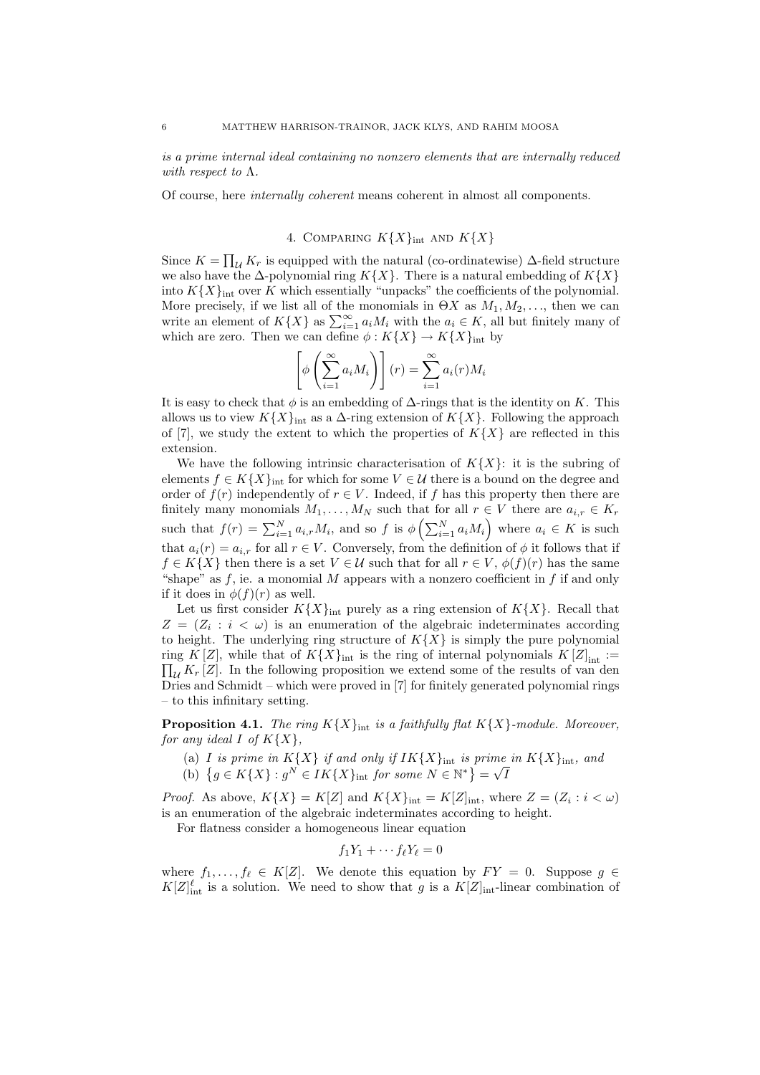is a prime internal ideal containing no nonzero elements that are internally reduced with respect to  $\Lambda$ .

Of course, here internally coherent means coherent in almost all components.

# 4. COMPARING  $K{X}_{\text{int}}$  AND  $K{X}$

Since  $K = \prod_{\mathcal{U}} K_r$  is equipped with the natural (co-ordinatewise)  $\Delta$ -field structure we also have the  $\Delta$ -polynomial ring  $K\{X\}$ . There is a natural embedding of  $K\{X\}$ into  $K{X}_{\text{int}}$  over K which essentially "unpacks" the coefficients of the polynomial. More precisely, if we list all of the monomials in  $\Theta X$  as  $M_1, M_2, \ldots$ , then we can write an element of  $K\{X\}$  as  $\sum_{i=1}^{\infty} a_i M_i$  with the  $a_i \in K$ , all but finitely many of which are zero. Then we can define  $\phi: K\{X\} \to K\{X\}_{\text{int}}$  by

$$
\left[\phi\left(\sum_{i=1}^{\infty} a_i M_i\right)\right](r) = \sum_{i=1}^{\infty} a_i(r) M_i
$$

It is easy to check that  $\phi$  is an embedding of  $\Delta$ -rings that is the identity on K. This allows us to view  $K\{X\}_{\text{int}}$  as a  $\Delta$ -ring extension of  $K\{X\}$ . Following the approach of [7], we study the extent to which the properties of  $K\{X\}$  are reflected in this extension.

We have the following intrinsic characterisation of  $K\{X\}$ : it is the subring of elements  $f \in K\{X\}_{\text{int}}$  for which for some  $V \in \mathcal{U}$  there is a bound on the degree and order of  $f(r)$  independently of  $r \in V$ . Indeed, if f has this property then there are finitely many monomials  $M_1, \ldots, M_N$  such that for all  $r \in V$  there are  $a_{i,r} \in K_r$ such that  $f(r) = \sum_{i=1}^{N} a_{i,r} M_i$ , and so f is  $\phi\left(\sum_{i=1}^{N} a_i M_i\right)$  where  $a_i \in K$  is such that  $a_i(r) = a_{i,r}$  for all  $r \in V$ . Conversely, from the definition of  $\phi$  it follows that if  $f \in K\{X\}$  then there is a set  $V \in \mathcal{U}$  such that for all  $r \in V$ ,  $\phi(f)(r)$  has the same "shape" as  $f$ , ie. a monomial  $M$  appears with a nonzero coefficient in  $f$  if and only if it does in  $\phi(f)(r)$  as well.

Let us first consider  $K{X}_{\text{int}}$  purely as a ring extension of  $K{X}$ . Recall that  $Z = (Z_i : i < \omega)$  is an enumeration of the algebraic indeterminates according to height. The underlying ring structure of  $K\{X\}$  is simply the pure polynomial ring K [Z], while that of  $K\{X\}_{\text{int}}$  is the ring of internal polynomials  $K[Z]_{\text{int}} := \prod_{\mathcal{U}} K_r [Z]$ . In the following proposition we extend some of the results of van den  $\prod_{\mathcal{U}} K_r [Z]$ . In the following proposition we extend some of the results of van den Dries and Schmidt – which were proved in [7] for finitely generated polynomial rings – to this infinitary setting.

**Proposition 4.1.** The ring  $K{X}_{int}$  is a faithfully flat  $K{X}$ -module. Moreover, for any ideal I of  $K\{X\}$ ,

- (a) I is prime in  $K\{X\}$  if and only if  $IK\{X\}_{\text{int}}$  is prime in  $K\{X\}_{\text{int}}$ , and √
- (b)  $\{g \in K\{X\} : g^N \in IK\{X\}_{\text{int}} \text{ for some } N \in \mathbb{N}^*\} =$ I

*Proof.* As above,  $K\{X\} = K[Z]$  and  $K\{X\}_{\text{int}} = K[Z]_{\text{int}}$ , where  $Z = (Z_i : i < \omega)$ is an enumeration of the algebraic indeterminates according to height.

For flatness consider a homogeneous linear equation

$$
f_1Y_1 + \cdots f_{\ell}Y_{\ell} = 0
$$

where  $f_1, \ldots, f_\ell \in K[Z]$ . We denote this equation by  $FY = 0$ . Suppose  $g \in$  $K[Z]_{\text{int}}^{\ell}$  is a solution. We need to show that g is a  $K[Z]_{\text{int}}$ -linear combination of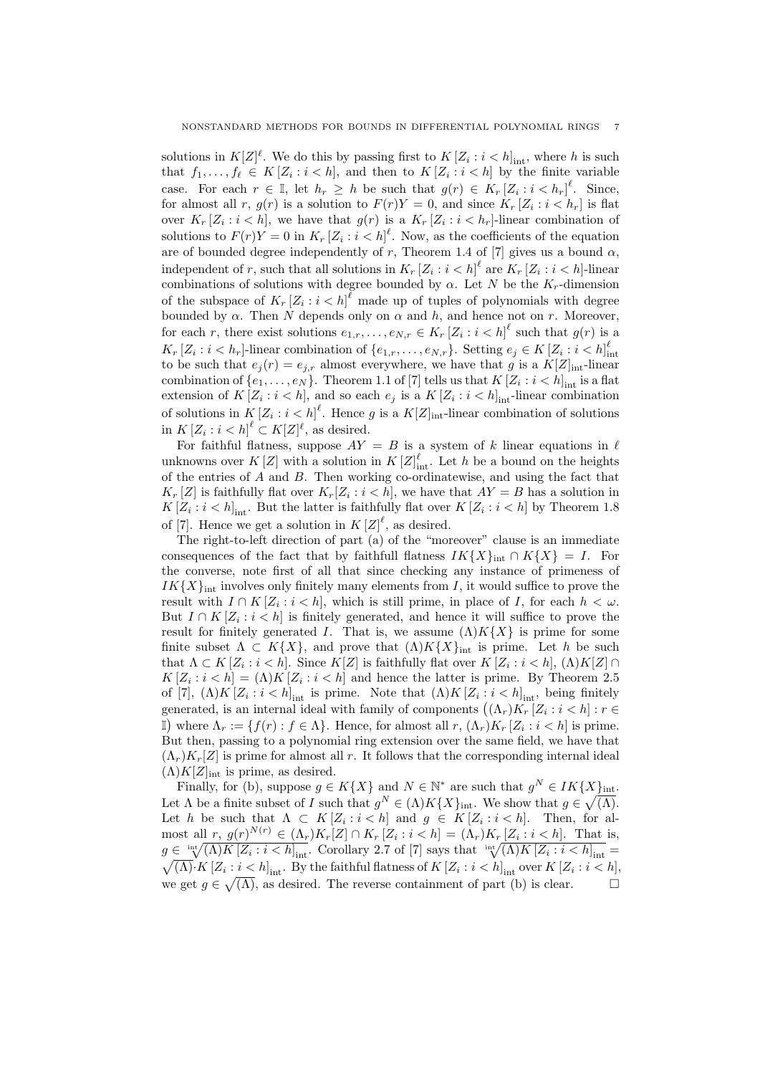solutions in  $K[Z]^{\ell}$ . We do this by passing first to  $K[Z_i : i < h]_{int}$ , where h is such that  $f_1, \ldots, f_\ell \in K[Z_i : i < h]$ , and then to  $K[Z_i : i < h]$  by the finite variable case. For each  $r \in \mathbb{I}$ , let  $h_r \geq h$  be such that  $g(r) \in K_r [Z_i : i < h_r]^{\ell}$ . Since, for almost all r,  $g(r)$  is a solution to  $F(r)Y = 0$ , and since  $K_r [Z_i : i < h_r]$  is flat over  $K_r [Z_i : i < h]$ , we have that  $g(r)$  is a  $K_r [Z_i : i < h_r]$ -linear combination of solutions to  $F(r)Y = 0$  in  $K_r [Z_i : i < h]$ <sup> $\ell$ </sup>. Now, as the coefficients of the equation are of bounded degree independently of r, Theorem 1.4 of [7] gives us a bound  $\alpha$ , independent of r, such that all solutions in  $K_r [Z_i : i < h]^\ell$  are  $K_r [Z_i : i < h]$ -linear combinations of solutions with degree bounded by  $\alpha$ . Let N be the K<sub>r</sub>-dimension of the subspace of  $K_r [Z_i : i < h]^\ell$  made up of tuples of polynomials with degree bounded by  $\alpha$ . Then N depends only on  $\alpha$  and h, and hence not on r. Moreover, for each r, there exist solutions  $e_{1,r},\ldots,e_{N,r} \in K_r [Z_i : i < h]^\ell$  such that  $g(r)$  is a  $K_r [Z_i : i < h_r]$ -linear combination of  $\{e_{1,r}, \ldots, e_{N,r}\}$ . Setting  $e_j \in K [Z_i : i < h]_{int}^{\ell}$  to be such that  $e_j(r) = e_{j,r}$  almost everywhere, we have that g is a  $K[Z]_{int}$ -linear combination of  $\{e_1, \ldots, e_N\}$ . Theorem 1.1 of [7] tells us that  $K[Z_i : i < h]_{int}$  is a flat extension of  $K[Z_i : i < h]$ , and so each  $e_j$  is a  $K[Z_i : i < h]_{int}$ -linear combination of solutions in  $K[Z_i : i < h]^\ell$ . Hence g is a  $K[Z]_{int}$ -linear combination of solutions in  $K[Z_i : i < h]^\ell \subset K[Z]^\ell$ , as desired.

For faithful flatness, suppose  $AY = B$  is a system of k linear equations in  $\ell$ unknowns over  $K[Z]$  with a solution in  $K[Z]_{int}^{\ell}$ . Let h be a bound on the heights of the entries of A and B. Then working co-ordinatewise, and using the fact that  $K_r[Z]$  is faithfully flat over  $K_r[Z_i : i < h]$ , we have that  $AY = B$  has a solution in  $K[Z_i : i < h]_{int}$ . But the latter is faithfully flat over  $K[Z_i : i < h]$  by Theorem 1.8 of [7]. Hence we get a solution in  $K[Z]^{\ell}$ , as desired.

The right-to-left direction of part (a) of the "moreover" clause is an immediate consequences of the fact that by faithfull flatness  $IK\{X\}_{int} \cap K\{X\} = I$ . For the converse, note first of all that since checking any instance of primeness of  $IK{X}_{int}$  involves only finitely many elements from I, it would suffice to prove the result with  $I \cap K[Z_i : i < h]$ , which is still prime, in place of I, for each  $h < \omega$ . But  $I \cap K[Z_i : i < h]$  is finitely generated, and hence it will suffice to prove the result for finitely generated I. That is, we assume  $(\Lambda)K\{X\}$  is prime for some finite subset  $\Lambda \subset K\{X\}$ , and prove that  $(\Lambda)K\{X\}_{\text{int}}$  is prime. Let h be such that  $\Lambda \subset K[Z_i : i < h]$ . Since  $K[Z]$  is faithfully flat over  $K[Z_i : i < h]$ ,  $(\Lambda)K[Z] \cap$  $K[Z_i : i < h] = (\Lambda)K[Z_i : i < h]$  and hence the latter is prime. By Theorem 2.5 of [7],  $(\Lambda)K[Z_i : i < h]_{\text{int}}$  is prime. Note that  $(\Lambda)K[Z_i : i < h]_{\text{int}}$ , being finitely generated, is an internal ideal with family of components  $((\Lambda_r)K_r [Z_i : i < h] : r \in$ If where  $\Lambda_r := \{f(r) : f \in \Lambda\}$ . Hence, for almost all  $r, (\Lambda_r)K_r [Z_i : i < h]$  is prime. But then, passing to a polynomial ring extension over the same field, we have that  $(\Lambda_r)K_r[Z]$  is prime for almost all r. It follows that the corresponding internal ideal  $(\Lambda)K[Z]_{\text{int}}$  is prime, as desired.

Finally, for (b), suppose  $g \in K\{X\}$  and  $N \in \mathbb{N}^*$  are such that  $g^N \in IK\{X\}_{\text{int}}$ . Let  $\Lambda$  be a finite subset of I such that  $g^N \in (\Lambda)K\{X\}_{\text{int}}$ . We show that  $g \in \sqrt{(\Lambda)}$ . Let h be such that  $\Lambda \subset K[Z_i : i \subset h]$  and  $g \in K[Z_i : i \subset h]$ . Then, for almost all  $r, g(r)^{N(r)} \in (\Lambda_r)K_r[Z] \cap K_r[Z_i : i < h] = (\Lambda_r)K_r[Z_i : i < h]$ . That is,  $g \in \sqrt[1]{(\Lambda)K[Z_i : i < h]_{\text{int}}}$ . Corollary 2.7 of [7] says that  $\sqrt[1]{(\Lambda)K[Z_i : i < h]}$  $g \in \sqrt[n+1]{(\Lambda)} K [Z_i : i < h]_{\text{int}}$ . Corollary 2.7 of [7] says that  $\sqrt[n+1]{(\Lambda)} K [Z_i : i < h]_{\text{int}} = \sqrt{(\Lambda)} \cdot K [Z_i : i < h]_{\text{int}}$ . By the faithful flatness of  $K [Z_i : i < h]_{\text{int}}$  over  $K [Z_i : i < h]$ , we get  $g \in \sqrt{(\Lambda)}$ , as desired. The reverse containment of part (b) is clear.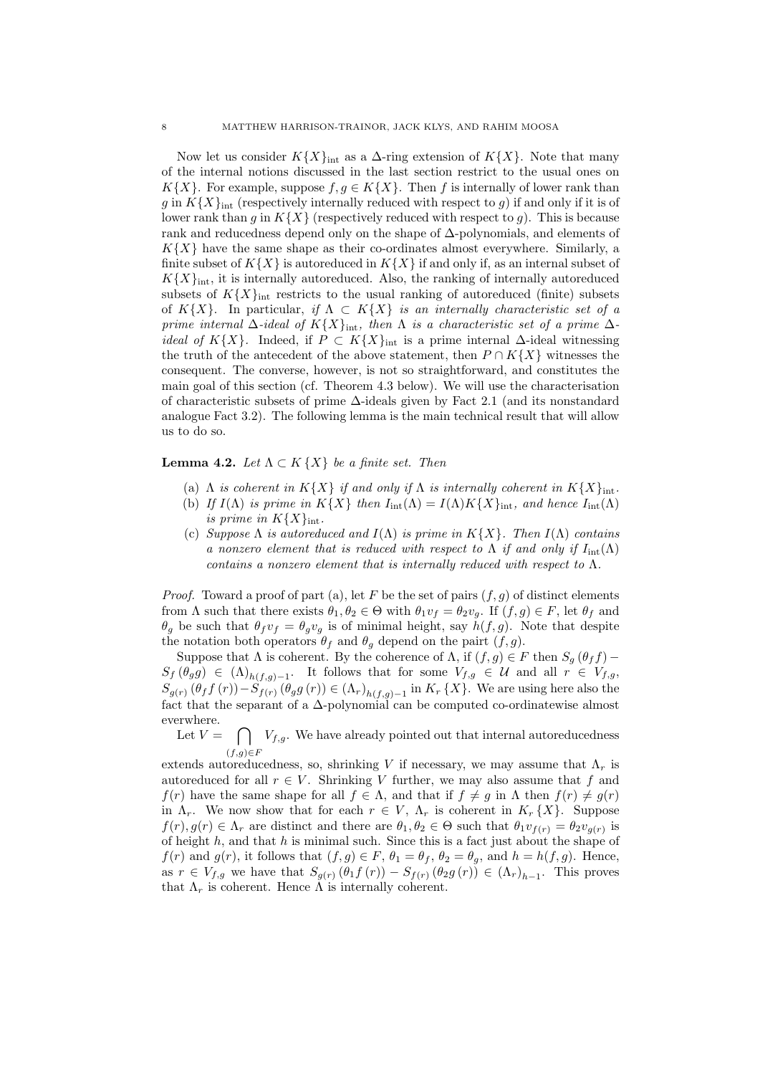Now let us consider  $K{X}_{\text{int}}$  as a  $\Delta$ -ring extension of  $K{X}$ . Note that many of the internal notions discussed in the last section restrict to the usual ones on K $\{X\}$ . For example, suppose  $f, g \in K\{X\}$ . Then f is internally of lower rank than g in  $K{X}_{\text{int}}$  (respectively internally reduced with respect to g) if and only if it is of lower rank than q in  $K{X}$  (respectively reduced with respect to q). This is because rank and reducedness depend only on the shape of ∆-polynomials, and elements of  $K{X}$  have the same shape as their co-ordinates almost everywhere. Similarly, a finite subset of  $K{X}$  is autoreduced in  $K{X}$  if and only if, as an internal subset of  $K\{X\}_{\text{int}}$ , it is internally autoreduced. Also, the ranking of internally autoreduced subsets of  $K{X}_{\text{int}}$  restricts to the usual ranking of autoreduced (finite) subsets of K{X}. In particular, if  $\Lambda \subset K\{X\}$  is an internally characteristic set of a prime internal  $\Delta$ -ideal of  $K\{X\}_{\text{int}}$ , then  $\Lambda$  is a characteristic set of a prime  $\Delta$ *ideal of* K{X}. Indeed, if  $P \subset K\{X\}_{\text{int}}$  is a prime internal  $\Delta$ -ideal witnessing the truth of the antecedent of the above statement, then  $P \cap K\{X\}$  witnesses the consequent. The converse, however, is not so straightforward, and constitutes the main goal of this section (cf. Theorem 4.3 below). We will use the characterisation of characteristic subsets of prime ∆-ideals given by Fact 2.1 (and its nonstandard analogue Fact 3.2). The following lemma is the main technical result that will allow us to do so.

## **Lemma 4.2.** Let  $\Lambda \subset K \{X\}$  be a finite set. Then

- (a)  $\Lambda$  is coherent in  $K\{X\}$  if and only if  $\Lambda$  is internally coherent in  $K\{X\}_{\text{int}}$ .
- (b) If  $I(\Lambda)$  is prime in  $K\{X\}$  then  $I_{\text{int}}(\Lambda) = I(\Lambda)K\{X\}_{\text{int}}$ , and hence  $I_{\text{int}}(\Lambda)$ is prime in  $K{X}_{\text{int}}$ .
- (c) Suppose  $\Lambda$  is autoreduced and  $I(\Lambda)$  is prime in  $K\{X\}$ . Then  $I(\Lambda)$  contains a nonzero element that is reduced with respect to  $\Lambda$  if and only if  $I_{\text{int}}(\Lambda)$ contains a nonzero element that is internally reduced with respect to  $\Lambda$ .

*Proof.* Toward a proof of part (a), let F be the set of pairs  $(f, g)$  of distinct elements from  $\Lambda$  such that there exists  $\theta_1, \theta_2 \in \Theta$  with  $\theta_1 v_f = \theta_2 v_g$ . If  $(f, g) \in F$ , let  $\theta_f$  and  $\theta_g$  be such that  $\theta_f v_f = \theta_g v_g$  is of minimal height, say  $h(f, g)$ . Note that despite the notation both operators  $\theta_f$  and  $\theta_q$  depend on the pairt  $(f, g)$ .

Suppose that  $\Lambda$  is coherent. By the coherence of  $\Lambda$ , if  $(f, g) \in F$  then  $S_g$   $(\theta_f f)$  –  $S_f(\theta_g g) \in (\Lambda)_{h(f,g)-1}$ . It follows that for some  $V_{f,g} \in \mathcal{U}$  and all  $r \in V_{f,g}$ ,  $S_{g(r)}(\theta_f f(r)) - S_{f(r)}(\theta_g g(r)) \in (\Lambda_r)_{h(f,g)-1}$  in  $K_r\{X\}$ . We are using here also the fact that the separant of a  $\Delta$ -polynomial can be computed co-ordinatewise almost everwhere.

Let  $V = \bigcap V_{f,g}$ . We have already pointed out that internal autoreducedness  $(f,g) \in F$ 

extends autoreducedness, so, shrinking V if necessary, we may assume that  $\Lambda_r$  is autoreduced for all  $r \in V$ . Shrinking V further, we may also assume that f and  $f(r)$  have the same shape for all  $f \in \Lambda$ , and that if  $f \neq g$  in  $\Lambda$  then  $f(r) \neq g(r)$ in  $\Lambda_r$ . We now show that for each  $r \in V$ ,  $\Lambda_r$  is coherent in  $K_r\{X\}$ . Suppose  $f(r), g(r) \in \Lambda_r$  are distinct and there are  $\theta_1, \theta_2 \in \Theta$  such that  $\theta_1 v_{f(r)} = \theta_2 v_{g(r)}$  is of height  $h$ , and that  $h$  is minimal such. Since this is a fact just about the shape of  $f(r)$  and  $g(r)$ , it follows that  $(f, g) \in F$ ,  $\theta_1 = \theta_f$ ,  $\theta_2 = \theta_g$ , and  $h = h(f, g)$ . Hence, as  $r \in V_{f,g}$  we have that  $S_{g(r)}(\theta_1 f(r)) - S_{f(r)}(\theta_2 g(r)) \in (\Lambda_r)_{h-1}$ . This proves that  $\Lambda_r$  is coherent. Hence  $\Lambda$  is internally coherent.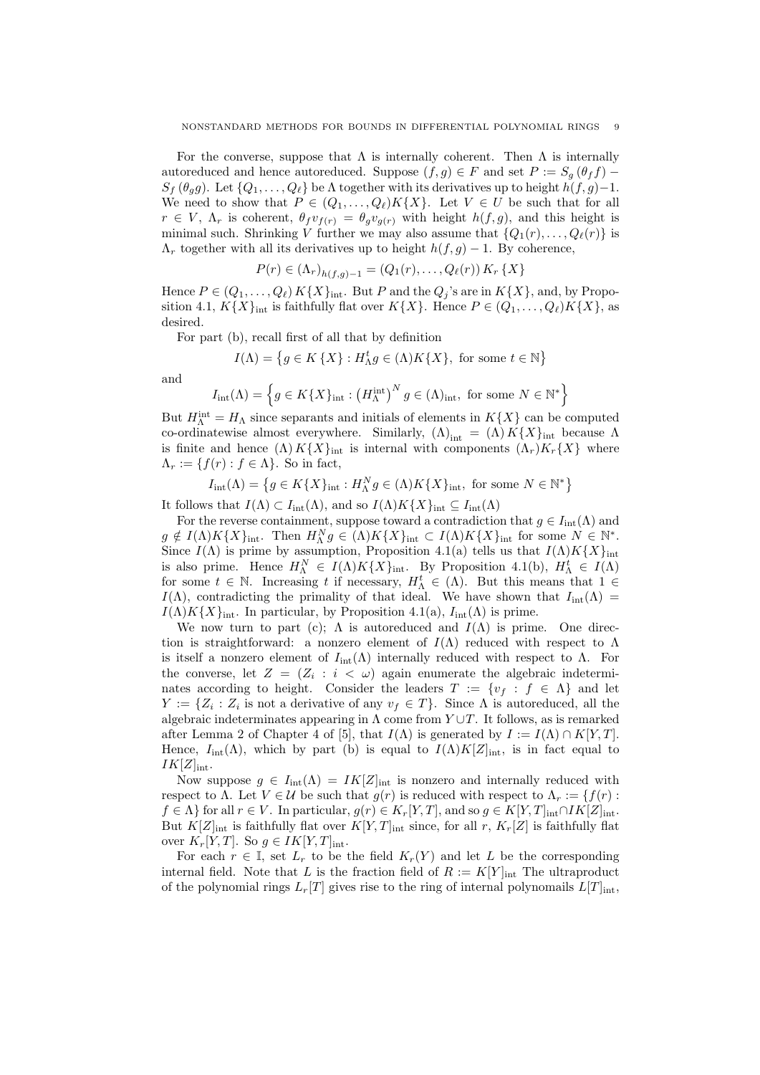For the converse, suppose that  $\Lambda$  is internally coherent. Then  $\Lambda$  is internally autoreduced and hence autoreduced. Suppose  $(f, g) \in F$  and set  $P := S_q(\theta_f f)$  –  $S_f$  ( $\theta_g$ ). Let  $\{Q_1, \ldots, Q_\ell\}$  be  $\Lambda$  together with its derivatives up to height  $h(f, g)-1$ . We need to show that  $P \in (Q_1, \ldots, Q_\ell)K\{X\}$ . Let  $V \in U$  be such that for all  $r \in V$ ,  $\Lambda_r$  is coherent,  $\theta_f v_{f(r)} = \theta_g v_{g(r)}$  with height  $h(f, g)$ , and this height is minimal such. Shrinking V further we may also assume that  $\{Q_1(r), \ldots, Q_\ell(r)\}\$ is  $\Lambda_r$  together with all its derivatives up to height  $h(f, g) - 1$ . By coherence,

$$
P(r) \in (\Lambda_r)_{h(f,g)-1} = (Q_1(r), \dots, Q_\ell(r)) K_r \{X\}
$$

Hence  $P \in (Q_1, \ldots, Q_\ell) K\{X\}_{\text{int}}$ . But P and the  $Q_j$ 's are in  $K\{X\}$ , and, by Proposition 4.1,  $K\{X\}_{\text{int}}$  is faithfully flat over  $K\{X\}$ . Hence  $P \in (Q_1, \ldots, Q_\ell)K\{X\}$ , as desired.

For part (b), recall first of all that by definition

$$
I(\Lambda) = \left\{ g \in K \{X\} : H_{\Lambda}^t g \in (\Lambda)K\{X\}, \text{ for some } t \in \mathbb{N} \right\}
$$

and

$$
I_{\rm int}(\Lambda) = \left\{ g \in K\{X\}_{\rm int} : \left(H_{\Lambda}^{\rm int}\right)^N g \in (\Lambda)_{\rm int}, \text{ for some } N \in \mathbb{N}^* \right\}
$$

But  $H_{\Lambda}^{\text{int}} = H_{\Lambda}$  since separants and initials of elements in  $K\{X\}$  can be computed co-ordinatewise almost everywhere. Similarly,  $(\Lambda)_{int} = (\Lambda) K\{X\}_{int}$  because  $\Lambda$ is finite and hence  $(\Lambda) K\{X\}_{\text{int}}$  is internal with components  $(\Lambda_r)K_r\{X\}$  where  $\Lambda_r := \{f(r) : f \in \Lambda\}.$  So in fact,

$$
I_{\text{int}}(\Lambda) = \left\{ g \in K\{X\}_{\text{int}} : H_{\Lambda}^N g \in (\Lambda)K\{X\}_{\text{int}}, \text{ for some } N \in \mathbb{N}^* \right\}
$$

It follows that  $I(\Lambda) \subset I_{\rm int}(\Lambda)$ , and so  $I(\Lambda)K\{X\}_{\rm int} \subseteq I_{\rm int}(\Lambda)$ 

For the reverse containment, suppose toward a contradiction that  $g \in I_{\text{int}}(\Lambda)$  and  $g \notin I(\Lambda)K\{X\}_{\text{int}}$ . Then  $H_{\Lambda}^N g \in (\Lambda)K\{X\}_{\text{int}} \subset I(\Lambda)K\{X\}_{\text{int}}$  for some  $N \in \mathbb{N}^*$ . Since  $I(\Lambda)$  is prime by assumption, Proposition 4.1(a) tells us that  $I(\Lambda)K\{X\}_{\text{int}}$ is also prime. Hence  $H_{\Lambda}^N \in I(\Lambda)K\{X\}_{\text{int}}$ . By Proposition 4.1(b),  $H_{\Lambda}^t \in I(\Lambda)$ for some  $t \in \mathbb{N}$ . Increasing t if necessary,  $H^t_\Lambda \in (\Lambda)$ . But this means that  $1 \in$  $I(\Lambda)$ , contradicting the primality of that ideal. We have shown that  $I_{\text{int}}(\Lambda)$  $I(\Lambda)K\{X\}_{\text{int}}$ . In particular, by Proposition 4.1(a),  $I_{\text{int}}(\Lambda)$  is prime.

We now turn to part (c);  $\Lambda$  is autoreduced and  $I(\Lambda)$  is prime. One direction is straightforward: a nonzero element of  $I(\Lambda)$  reduced with respect to  $\Lambda$ is itself a nonzero element of  $I_{\text{int}}(\Lambda)$  internally reduced with respect to  $\Lambda$ . For the converse, let  $Z = (Z_i : i < \omega)$  again enumerate the algebraic indeterminates according to height. Consider the leaders  $T := \{v_f : f \in \Lambda\}$  and let  $Y := \{Z_i : Z_i$  is not a derivative of any  $v_f \in T\}$ . Since  $\Lambda$  is autoreduced, all the algebraic indeterminates appearing in  $\Lambda$  come from  $Y \cup T$ . It follows, as is remarked after Lemma 2 of Chapter 4 of [5], that  $I(\Lambda)$  is generated by  $I := I(\Lambda) \cap K[Y,T]$ . Hence,  $I_{int}(\Lambda)$ , which by part (b) is equal to  $I(\Lambda)K[Z]_{int}$ , is in fact equal to  $IK[Z]_{\text{int}}$ .

Now suppose  $g \in I_{\text{int}}(\Lambda) = IK[Z]_{\text{int}}$  is nonzero and internally reduced with respect to Λ. Let  $V \in \mathcal{U}$  be such that  $g(r)$  is reduced with respect to  $\Lambda_r := \{f(r) :$  $f \in \Lambda$  for all  $r \in V$ . In particular,  $g(r) \in K_r[Y,T]$ , and so  $g \in K[Y,T]_{int} \cap IK[Z]_{int}$ . But  $K[Z]_{\text{int}}$  is faithfully flat over  $K[Y,T]_{\text{int}}$  since, for all r,  $K_r[Z]$  is faithfully flat over  $K_r[Y, T]$ . So  $g \in IK[Y, T]_{\text{int}}$ .

For each  $r \in \mathbb{I}$ , set  $L_r$  to be the field  $K_r(Y)$  and let L be the corresponding internal field. Note that L is the fraction field of  $R := K[Y]_{int}$  The ultraproduct of the polynomial rings  $L_r[T]$  gives rise to the ring of internal polynomails  $L[T]_{int}$ ,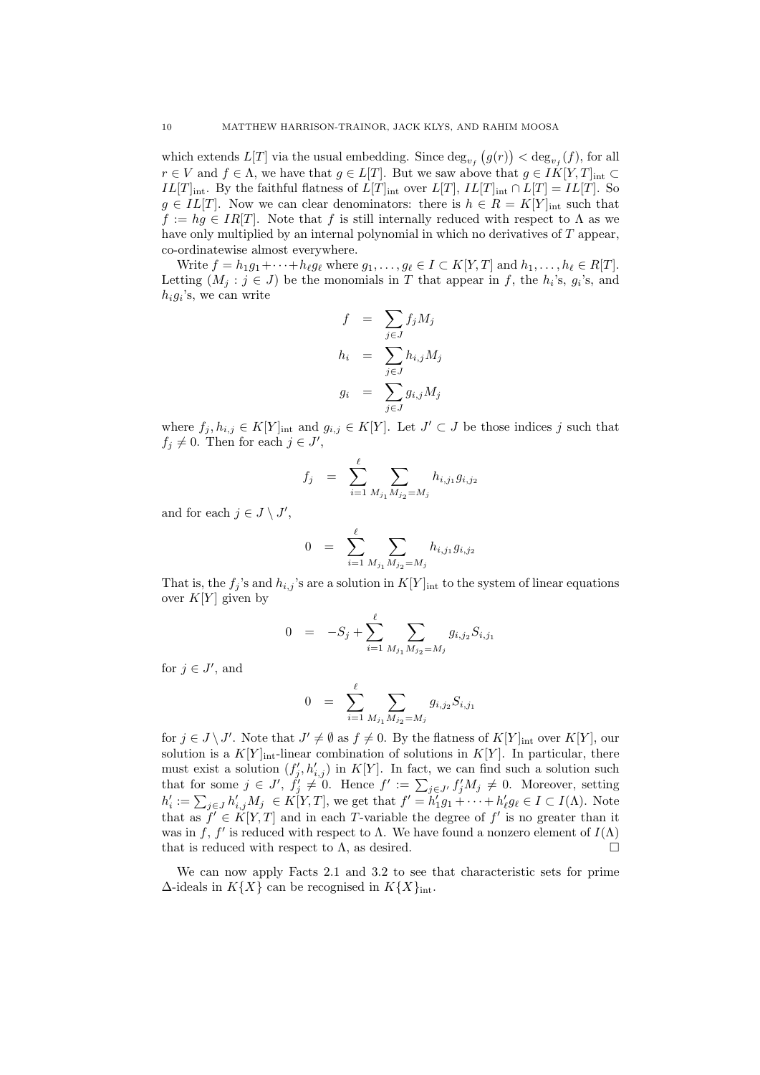which extends  $L[T]$  via the usual embedding. Since  $\deg_{v_f}(g(r)) < \deg_{v_f}(f)$ , for all  $r \in V$  and  $f \in \Lambda$ , we have that  $g \in L[T]$ . But we saw above that  $g \in IK[Y,T]_{int} \subset$  $IL[T]_{int}$ . By the faithful flatness of  $L[T]_{int}$  over  $L[T]$ ,  $IL[T]_{int} \cap L[T] = IL[T]$ . So  $g \in IL[T]$ . Now we can clear denominators: there is  $h \in R = K[Y]_{int}$  such that  $f := hq \in IR[T]$ . Note that f is still internally reduced with respect to  $\Lambda$  as we have only multiplied by an internal polynomial in which no derivatives of T appear, co-ordinatewise almost everywhere.

Write  $f = h_1g_1 + \cdots + h_\ell g_\ell$  where  $g_1, \ldots, g_\ell \in I \subset K[Y, T]$  and  $h_1, \ldots, h_\ell \in R[T]$ . Letting  $(M_j : j \in J)$  be the monomials in T that appear in f, the  $h_i$ 's,  $g_i$ 's, and  $h_i g_i$ 's, we can write

$$
f = \sum_{j \in J} f_j M_j
$$
  
\n
$$
h_i = \sum_{j \in J} h_{i,j} M_j
$$
  
\n
$$
g_i = \sum_{j \in J} g_{i,j} M_j
$$

where  $f_j, h_{i,j} \in K[Y]_{\text{int}}$  and  $g_{i,j} \in K[Y]$ . Let  $J' \subset J$  be those indices j such that  $f_j \neq 0$ . Then for each  $j \in J'$ ,

$$
f_j = \sum_{i=1}^{\ell} \sum_{M_{j_1} M_{j_2} = M_j} h_{i,j_1} g_{i,j_2}
$$

and for each  $j \in J \setminus J'$ ,

$$
0 = \sum_{i=1}^{\ell} \sum_{M_{j_1} M_{j_2} = M_j} h_{i,j_1} g_{i,j_2}
$$

That is, the  $f_i$ 's and  $h_{i,j}$ 's are a solution in  $K[Y]_{int}$  to the system of linear equations over  $K[Y]$  given by

$$
0 = -S_j + \sum_{i=1}^{\ell} \sum_{M_{j_1} M_{j_2} = M_j} g_{i,j_2} S_{i,j_1}
$$

for  $j \in J'$ , and

$$
0 = \sum_{i=1}^{\ell} \sum_{M_{j_1} M_{j_2} = M_j} g_{i,j_2} S_{i,j_1}
$$

for  $j \in J \setminus J'$ . Note that  $J' \neq \emptyset$  as  $f \neq 0$ . By the flatness of  $K[Y]_{\text{int}}$  over  $K[Y]$ , our solution is a  $K[Y]_{int}$ -linear combination of solutions in  $K[Y]$ . In particular, there must exist a solution  $(f'_j, h'_{i,j})$  in  $K[Y]$ . In fact, we can find such a solution such that for some  $j \in J'$ ,  $\tilde{f}'_j \neq 0$ . Hence  $f' := \sum_{j \in J'} f'_j M_j \neq 0$ . Moreover, setting  $h'_i := \sum_{j \in J} h'_{i,j} M_j \in K[Y,T]$ , we get that  $f' = \tilde{h}'_1 g_1 + \cdots + h'_{\ell} g_{\ell} \in I \subset I(\Lambda)$ . Note that as  $f \in K[Y,T]$  and in each T-variable the degree of f' is no greater than it was in f, f' is reduced with respect to  $\Lambda$ . We have found a nonzero element of  $I(\Lambda)$ that is reduced with respect to  $\Lambda$ , as desired.

We can now apply Facts 2.1 and 3.2 to see that characteristic sets for prime  $\Delta$ -ideals in  $K\{X\}$  can be recognised in  $K\{X\}_{\text{int}}$ .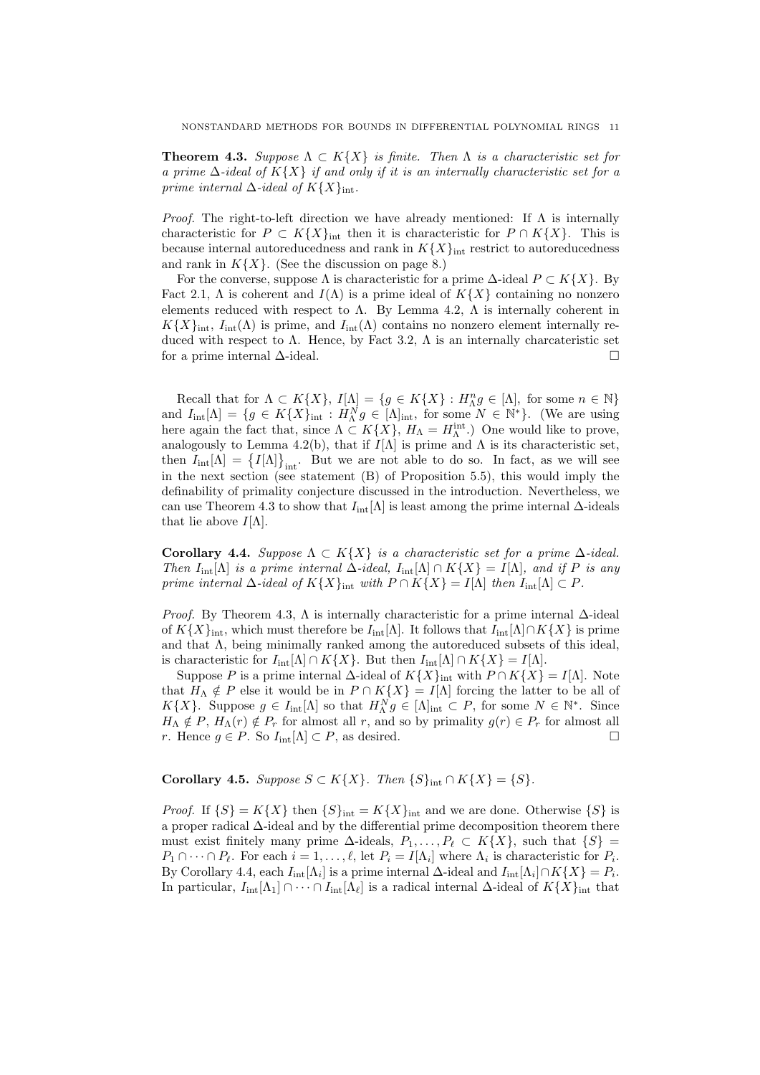**Theorem 4.3.** Suppose  $\Lambda \subset K\{X\}$  is finite. Then  $\Lambda$  is a characteristic set for a prime  $\Delta$ -ideal of K $\{X\}$  if and only if it is an internally characteristic set for a prime internal  $\Delta$ -ideal of  $K\{X\}_{\text{int}}$ .

*Proof.* The right-to-left direction we have already mentioned: If  $\Lambda$  is internally characteristic for  $P \subset K\{X\}_{\text{int}}$  then it is characteristic for  $P \cap K\{X\}$ . This is because internal autoreducedness and rank in  $K{X}_{\text{int}}$  restrict to autoreducedness and rank in  $K\{X\}$ . (See the discussion on page 8.)

For the converse, suppose  $\Lambda$  is characteristic for a prime  $\Delta$ -ideal  $P \subset K\{X\}$ . By Fact 2.1,  $\Lambda$  is coherent and  $I(\Lambda)$  is a prime ideal of  $K\{X\}$  containing no nonzero elements reduced with respect to  $\Lambda$ . By Lemma 4.2,  $\Lambda$  is internally coherent in  $K\{X\}_{\text{int}}$ ,  $I_{\text{int}}(\Lambda)$  is prime, and  $I_{\text{int}}(\Lambda)$  contains no nonzero element internally reduced with respect to  $\Lambda$ . Hence, by Fact 3.2,  $\Lambda$  is an internally charcateristic set for a prime internal ∆-ideal.

Recall that for  $\Lambda \subset K\{X\}$ ,  $I[\Lambda] = \{g \in K\{X\} : H_{\Lambda}^n g \in [\Lambda]$ , for some  $n \in \mathbb{N}\}$ and  $I_{\text{int}}[\Lambda] = \{g \in K\{X\}_{\text{int}} : H_{\Lambda}^{N}g \in [\Lambda]_{\text{int}}$ , for some  $N \in \mathbb{N}^*\}$ . (We are using here again the fact that, since  $\Lambda \subset K\{X\}$ ,  $H_{\Lambda} = H_{\Lambda}^{\text{int}}$ .) One would like to prove, analogously to Lemma 4.2(b), that if  $I[\Lambda]$  is prime and  $\Lambda$  is its characteristic set, then  $I_{\text{int}}[\Lambda] = \{I[\Lambda]\}_{\text{int}}$ . But we are not able to do so. In fact, as we will see in the next section (see statement (B) of Proposition 5.5), this would imply the definability of primality conjecture discussed in the introduction. Nevertheless, we can use Theorem 4.3 to show that  $I_{int}[\Lambda]$  is least among the prime internal  $\Delta$ -ideals that lie above  $I[\Lambda]$ .

Corollary 4.4. Suppose  $\Lambda \subset K\{X\}$  is a characteristic set for a prime  $\Delta$ -ideal. Then  $I_{int}[\Lambda]$  is a prime internal  $\Delta$ -ideal,  $I_{int}[\Lambda] \cap K\{X\} = I[\Lambda]$ , and if P is any prime internal  $\Delta$ -ideal of  $K\{X\}_{\text{int}}$  with  $P \cap K\{X\} = I[\Lambda]$  then  $I_{\text{int}}[\Lambda] \subset P$ .

*Proof.* By Theorem 4.3,  $\Lambda$  is internally characteristic for a prime internal  $\Delta$ -ideal of  $K\{X\}_{\text{int}}$ , which must therefore be  $I_{\text{int}}[\Lambda]$ . It follows that  $I_{\text{int}}[\Lambda] \cap K\{X\}$  is prime and that  $\Lambda$ , being minimally ranked among the autoreduced subsets of this ideal, is characteristic for  $I_{\text{int}}[\Lambda] \cap K\{X\}$ . But then  $I_{\text{int}}[\Lambda] \cap K\{X\} = I[\Lambda]$ .

Suppose P is a prime internal  $\Delta$ -ideal of  $K\{X\}_{\text{int}}$  with  $P \cap K\{X\} = I[\Lambda]$ . Note that  $H_{\Lambda} \notin P$  else it would be in  $P \cap K\{X\} = I[\Lambda]$  forcing the latter to be all of  $K{X}$ . Suppose  $g \in I_{\text{int}}[\Lambda]$  so that  $H_{\Lambda}^{N} g \in [\Lambda]_{\text{int}} \subset P$ , for some  $N \in \mathbb{N}^*$ . Since  $H_{\Lambda} \notin P$ ,  $H_{\Lambda}(r) \notin P_r$  for almost all r, and so by primality  $g(r) \in P_r$  for almost all r. Hence  $g \in P$ . So  $I_{\text{int}}[\Lambda] \subset P$ , as desired.

Corollary 4.5. Suppose  $S \subset K\{X\}$ . Then  $\{S\}_{\text{int}} \cap K\{X\} = \{S\}.$ 

*Proof.* If  $\{S\} = K\{X\}$  then  $\{S\}_{\text{int}} = K\{X\}_{\text{int}}$  and we are done. Otherwise  $\{S\}$  is a proper radical ∆-ideal and by the differential prime decomposition theorem there must exist finitely many prime  $\Delta$ -ideals,  $P_1, \ldots, P_\ell \subset K\{X\}$ , such that  $\{S\} =$  $P_1 \cap \cdots \cap P_\ell$ . For each  $i = 1, \ldots, \ell$ , let  $P_i = I[\Lambda_i]$  where  $\Lambda_i$  is characteristic for  $P_i$ . By Corollary 4.4, each  $I_{\text{int}}[\Lambda_i]$  is a prime internal  $\Delta$ -ideal and  $I_{\text{int}}[\Lambda_i] \cap K\{X\} = P_i$ . In particular,  $I_{\text{int}}[\Lambda_1] \cap \cdots \cap I_{\text{int}}[\Lambda_\ell]$  is a radical internal  $\Delta$ -ideal of  $K\{X\}_{\text{int}}$  that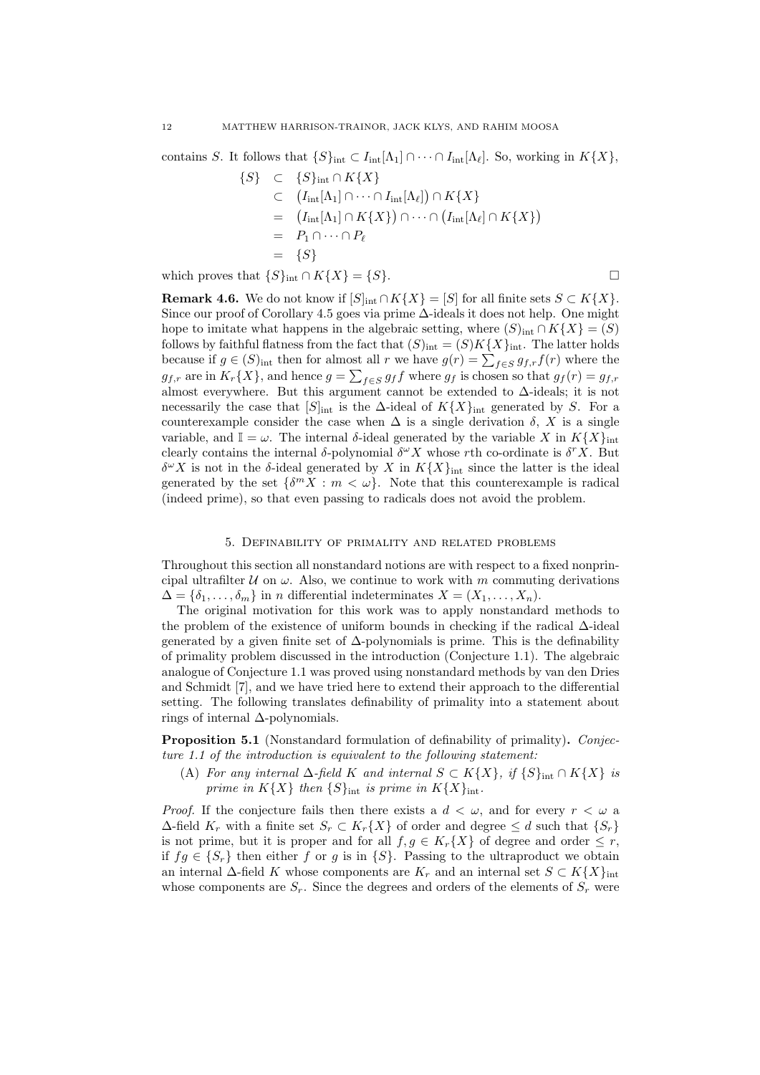contains S. It follows that  $\{S\}_{\text{int}} \subset I_{\text{int}}[\Lambda_1] \cap \cdots \cap I_{\text{int}}[\Lambda_\ell]$ . So, working in  $K\{X\}$ ,

$$
\{S\} \quad \subset \quad \{S\}_{\text{int}} \cap K\{X\}
$$
\n
$$
\subset \quad (I_{\text{int}}[\Lambda_1] \cap \cdots \cap I_{\text{int}}[\Lambda_\ell]) \cap K\{X\}
$$
\n
$$
= \quad (I_{\text{int}}[\Lambda_1] \cap K\{X\}) \cap \cdots \cap (I_{\text{int}}[\Lambda_\ell] \cap K\{X\})
$$
\n
$$
= \quad P_1 \cap \cdots \cap P_\ell
$$
\n
$$
= \quad \{S\}
$$

which proves that  $\{S\}_{\text{int}} \cap K\{X\} = \{S\}.$ 

**Remark 4.6.** We do not know if  $[S]_{int} \cap K\{X\} = [S]$  for all finite sets  $S \subset K\{X\}$ . Since our proof of Corollary 4.5 goes via prime ∆-ideals it does not help. One might hope to imitate what happens in the algebraic setting, where  $(S)_{\text{int}} \cap K\{X\} = (S)$ follows by faithful flatness from the fact that  $(S)_{int} = (S)K\{X\}_{int}$ . The latter holds because if  $g \in (S)_{\text{int}}$  then for almost all r we have  $g(r) = \sum_{f \in S} g_{f,r} f(r)$  where the  $g_{f,r}$  are in  $K_r\{X\}$ , and hence  $g = \sum_{f \in S} g_f f$  where  $g_f$  is chosen so that  $g_f(r) = g_{f,r}$ almost everywhere. But this argument cannot be extended to  $\Delta$ -ideals; it is not necessarily the case that  $[S]_{int}$  is the  $\Delta$ -ideal of  $K\{X\}_{int}$  generated by S. For a counterexample consider the case when  $\Delta$  is a single derivation  $\delta$ , X is a single variable, and  $\mathbb{I} = \omega$ . The internal  $\delta$ -ideal generated by the variable X in  $K\{X\}_{\text{int}}$ clearly contains the internal  $\delta$ -polynomial  $\delta^{\omega} X$  whose rth co-ordinate is  $\delta^{r} X$ . But  $\delta^{\omega} X$  is not in the  $\delta$ -ideal generated by X in  $K\{X\}_{\text{int}}$  since the latter is the ideal generated by the set  $\{\delta^m X : m \langle \omega \}$ . Note that this counterexample is radical (indeed prime), so that even passing to radicals does not avoid the problem.

## 5. Definability of primality and related problems

Throughout this section all nonstandard notions are with respect to a fixed nonprincipal ultrafilter  $U$  on  $\omega$ . Also, we continue to work with m commuting derivations  $\Delta = {\delta_1, \ldots, \delta_m}$  in *n* differential indeterminates  $X = (X_1, \ldots, X_n)$ .

The original motivation for this work was to apply nonstandard methods to the problem of the existence of uniform bounds in checking if the radical ∆-ideal generated by a given finite set of  $\Delta$ -polynomials is prime. This is the definability of primality problem discussed in the introduction (Conjecture 1.1). The algebraic analogue of Conjecture 1.1 was proved using nonstandard methods by van den Dries and Schmidt [7], and we have tried here to extend their approach to the differential setting. The following translates definability of primality into a statement about rings of internal ∆-polynomials.

Proposition 5.1 (Nonstandard formulation of definability of primality). Conjecture 1.1 of the introduction is equivalent to the following statement:

(A) For any internal  $\Delta$ -field K and internal  $S \subset K\{X\}$ , if  $\{S\}_{\text{int}} \cap K\{X\}$  is prime in  $K\{X\}$  then  $\{S\}_{\text{int}}$  is prime in  $K\{X\}_{\text{int}}$ .

*Proof.* If the conjecture fails then there exists a  $d < \omega$ , and for every  $r < \omega$  a  $\Delta$ -field  $K_r$  with a finite set  $S_r \subset K_r\{X\}$  of order and degree  $\leq d$  such that  $\{S_r\}$ is not prime, but it is proper and for all  $f, g \in K_r\{X\}$  of degree and order  $\leq r$ , if  $fg \in \{S_r\}$  then either f or g is in  $\{S\}$ . Passing to the ultraproduct we obtain an internal  $\Delta$ -field K whose components are  $K_r$  and an internal set  $S \subset K\{X\}_{\text{int}}$ whose components are  $S_r$ . Since the degrees and orders of the elements of  $S_r$  were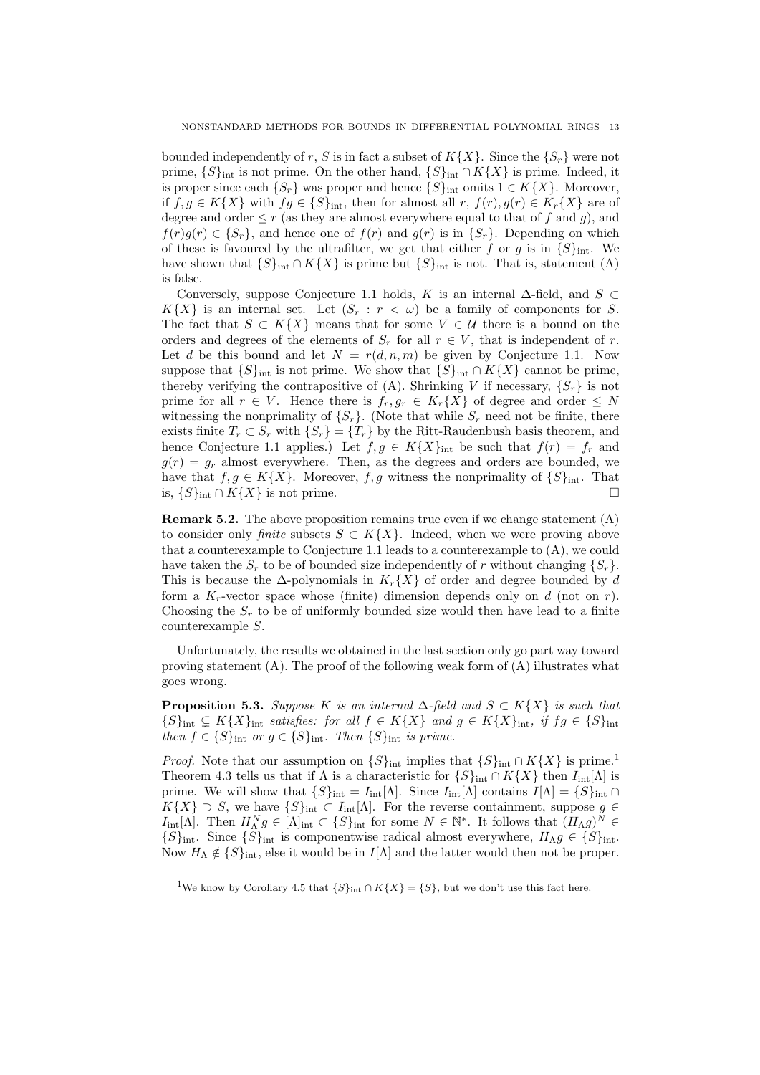bounded independently of r, S is in fact a subset of  $K\{X\}$ . Since the  $\{S_r\}$  were not prime,  $\{S\}_{\text{int}}$  is not prime. On the other hand,  $\{S\}_{\text{int}} \cap K\{X\}$  is prime. Indeed, it is proper since each  $\{S_r\}$  was proper and hence  $\{S\}_{\text{int}}$  omits  $1 \in K\{X\}$ . Moreover, if  $f, g \in K\{X\}$  with  $fg \in \{S\}_{\text{int}}$ , then for almost all  $r, f(r), g(r) \in K_r\{X\}$  are of degree and order  $\leq r$  (as they are almost everywhere equal to that of f and g), and  $f(r)g(r) \in \{S_r\}$ , and hence one of  $f(r)$  and  $g(r)$  is in  $\{S_r\}$ . Depending on which of these is favoured by the ultrafilter, we get that either f or g is in  $\{S\}_{\text{int}}$ . We have shown that  ${S}_{\text{int}} \cap K{X}$  is prime but  ${S}_{\text{int}}$  is not. That is, statement (A) is false.

Conversely, suppose Conjecture 1.1 holds, K is an internal  $\Delta$ -field, and S ⊂  $K{X}$  is an internal set. Let  $(S_r : r < \omega)$  be a family of components for S. The fact that  $S \subset K\{X\}$  means that for some  $V \in U$  there is a bound on the orders and degrees of the elements of  $S_r$  for all  $r \in V$ , that is independent of r. Let d be this bound and let  $N = r(d, n, m)$  be given by Conjecture 1.1. Now suppose that  $\{S\}_{\text{int}}$  is not prime. We show that  $\{S\}_{\text{int}} \cap K\{X\}$  cannot be prime, thereby verifying the contrapositive of (A). Shrinking V if necessary,  $\{S_r\}$  is not prime for all  $r \in V$ . Hence there is  $f_r, g_r \in K_r\{X\}$  of degree and order  $\leq N$ witnessing the nonprimality of  $\{S_r\}$ . (Note that while  $S_r$  need not be finite, there exists finite  $T_r \subset S_r$  with  $\{S_r\} = \{T_r\}$  by the Ritt-Raudenbush basis theorem, and hence Conjecture 1.1 applies.) Let  $f, g \in K\{X\}_{\text{int}}$  be such that  $f(r) = f_r$  and  $g(r) = g_r$  almost everywhere. Then, as the degrees and orders are bounded, we have that  $f, g \in K\{X\}$ . Moreover, f, g witness the nonprimality of  $\{S\}_{\text{int}}$ . That is,  ${S}_{int} ∩ K{X}$  is not prime.  $□$ 

**Remark 5.2.** The above proposition remains true even if we change statement  $(A)$ to consider only *finite* subsets  $S \subset K\{X\}$ . Indeed, when we were proving above that a counterexample to Conjecture 1.1 leads to a counterexample to (A), we could have taken the  $S_r$  to be of bounded size independently of r without changing  $\{S_r\}$ . This is because the  $\Delta$ -polynomials in  $K_r\{X\}$  of order and degree bounded by d form a  $K_r$ -vector space whose (finite) dimension depends only on d (not on r). Choosing the  $S_r$  to be of uniformly bounded size would then have lead to a finite counterexample S.

Unfortunately, the results we obtained in the last section only go part way toward proving statement  $(A)$ . The proof of the following weak form of  $(A)$  illustrates what goes wrong.

**Proposition 5.3.** Suppose K is an internal  $\Delta$ -field and  $S \subset K\{X\}$  is such that  ${S}_{\text{int}} \subsetneq K{X}_{\text{int}}$  satisfies: for all  $f \in K{X}$  and  $g \in K{X}_{\text{int}}$ , if  $fg \in {S}_{\text{int}}$ then  $f \in \{S\}_{\text{int}}$  or  $g \in \{S\}_{\text{int}}$ . Then  $\{S\}_{\text{int}}$  is prime.

*Proof.* Note that our assumption on  $\{S\}_{\text{int}}$  implies that  $\{S\}_{\text{int}} \cap K\{X\}$  is prime.<sup>1</sup> Theorem 4.3 tells us that if  $\Lambda$  is a characteristic for  $\{S\}_{\text{int}} \cap K\{X\}$  then  $I_{\text{int}}[\Lambda]$  is prime. We will show that  $\{S\}_{\text{int}} = I_{\text{int}}[\Lambda]$ . Since  $I_{\text{int}}[\Lambda]$  contains  $I[\Lambda] = \{S\}_{\text{int}} \cap$  $K{X} \supset S$ , we have  ${S}_{int} \subset I_{int}[\Lambda]$ . For the reverse containment, suppose  $g \in$  $I_{\rm int}[\Lambda]$ . Then  $H_{\Lambda}^N g \in [\Lambda]_{\rm int} \subset \{S\}_{\rm int}$  for some  $N \in \mathbb{N}^*$ . It follows that  $(H_{\Lambda}g)^{\tilde{N}} \in$  ${S}_{\text{int}}$ . Since  ${S}_{\text{int}}$  is componentwise radical almost everywhere,  $H_{\Lambda}g \in {S}_{\text{int}}$ . Now  $H_{\Lambda} \notin \{S\}_{\text{int}}$ , else it would be in  $I[\Lambda]$  and the latter would then not be proper.

<sup>&</sup>lt;sup>1</sup>We know by Corollary 4.5 that  $\{S\}_{int} \cap K\{X\} = \{S\}$ , but we don't use this fact here.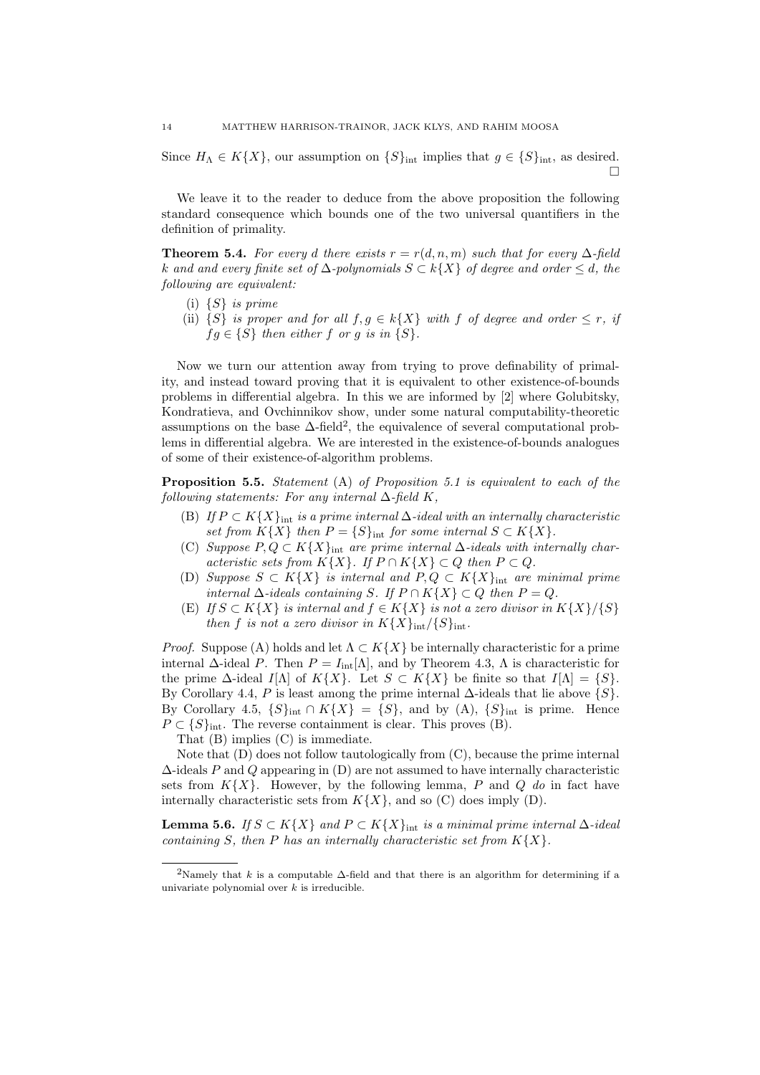Since  $H_{\Lambda} \in K\{X\}$ , our assumption on  $\{S\}_{\text{int}}$  implies that  $g \in \{S\}_{\text{int}}$ , as desired.  $\Box$ 

We leave it to the reader to deduce from the above proposition the following standard consequence which bounds one of the two universal quantifiers in the definition of primality.

**Theorem 5.4.** For every d there exists  $r = r(d, n, m)$  such that for every  $\Delta$ -field k and and every finite set of  $\Delta$ -polynomials  $S \subset k\{X\}$  of degree and order  $\leq d$ , the following are equivalent:

- (i)  $\{S\}$  is prime
- (ii)  $\{S\}$  is proper and for all  $f, g \in k\{X\}$  with f of degree and order  $\leq r$ , if  $fg \in \{S\}$  then either f or g is in  $\{S\}.$

Now we turn our attention away from trying to prove definability of primality, and instead toward proving that it is equivalent to other existence-of-bounds problems in differential algebra. In this we are informed by [2] where Golubitsky, Kondratieva, and Ovchinnikov show, under some natural computability-theoretic assumptions on the base  $\Delta$ -field<sup>2</sup>, the equivalence of several computational problems in differential algebra. We are interested in the existence-of-bounds analogues of some of their existence-of-algorithm problems.

**Proposition 5.5.** Statement  $(A)$  of Proposition 5.1 is equivalent to each of the following statements: For any internal  $\Delta$ -field K,

- (B) If  $P \subset K\{X\}_{\text{int}}$  is a prime internal  $\Delta$ -ideal with an internally characteristic set from  $K\{X\}$  then  $P = \{S\}_{\text{int}}$  for some internal  $S \subset K\{X\}.$
- (C) Suppose  $P, Q \subset K\{X\}_{\text{int}}$  are prime internal  $\Delta$ -ideals with internally characteristic sets from  $K\{X\}$ . If  $P \cap K\{X\} \subset Q$  then  $P \subset Q$ .
- (D) Suppose  $S \subset K\{X\}$  is internal and  $P, Q \subset K\{X\}_{\text{int}}$  are minimal prime internal ∆-ideals containing S. If P ∩ K{X} ⊂ Q then P = Q.
- (E) If  $S \subset K\{X\}$  is internal and  $f \in K\{X\}$  is not a zero divisor in  $K\{X\}/\{S\}$ then f is not a zero divisor in  $K{X}_{\text{int}}/{S}_{\text{int}}$ .

*Proof.* Suppose (A) holds and let  $\Lambda \subset K\{X\}$  be internally characteristic for a prime internal  $\Delta$ -ideal P. Then  $P = I_{int}[\Lambda]$ , and by Theorem 4.3,  $\Lambda$  is characteristic for the prime  $\Delta$ -ideal I[Λ] of K{X}. Let  $S \subset K\{X\}$  be finite so that  $I[\Lambda] = \{S\}.$ By Corollary 4.4, P is least among the prime internal  $\Delta$ -ideals that lie above  $\{S\}$ . By Corollary 4.5,  $\{S\}_{\text{int}} \cap K\{X\} = \{S\}$ , and by  $(A)$ ,  $\{S\}_{\text{int}}$  is prime. Hence  $P \subset \{S\}_{\text{int}}$ . The reverse containment is clear. This proves (B).

That (B) implies (C) is immediate.

Note that (D) does not follow tautologically from (C), because the prime internal  $\Delta$ -ideals P and Q appearing in (D) are not assumed to have internally characteristic sets from  $K\{X\}$ . However, by the following lemma, P and Q do in fact have internally characteristic sets from  $K\{X\}$ , and so (C) does imply (D).

Lemma 5.6. If  $S \subset K\{X\}$  and  $P \subset K\{X\}_{\text{int}}$  is a minimal prime internal ∆-ideal containing S, then P has an internally characteristic set from  $K\{X\}$ .

<sup>&</sup>lt;sup>2</sup>Namely that k is a computable  $\Delta$ -field and that there is an algorithm for determining if a univariate polynomial over  $k$  is irreducible.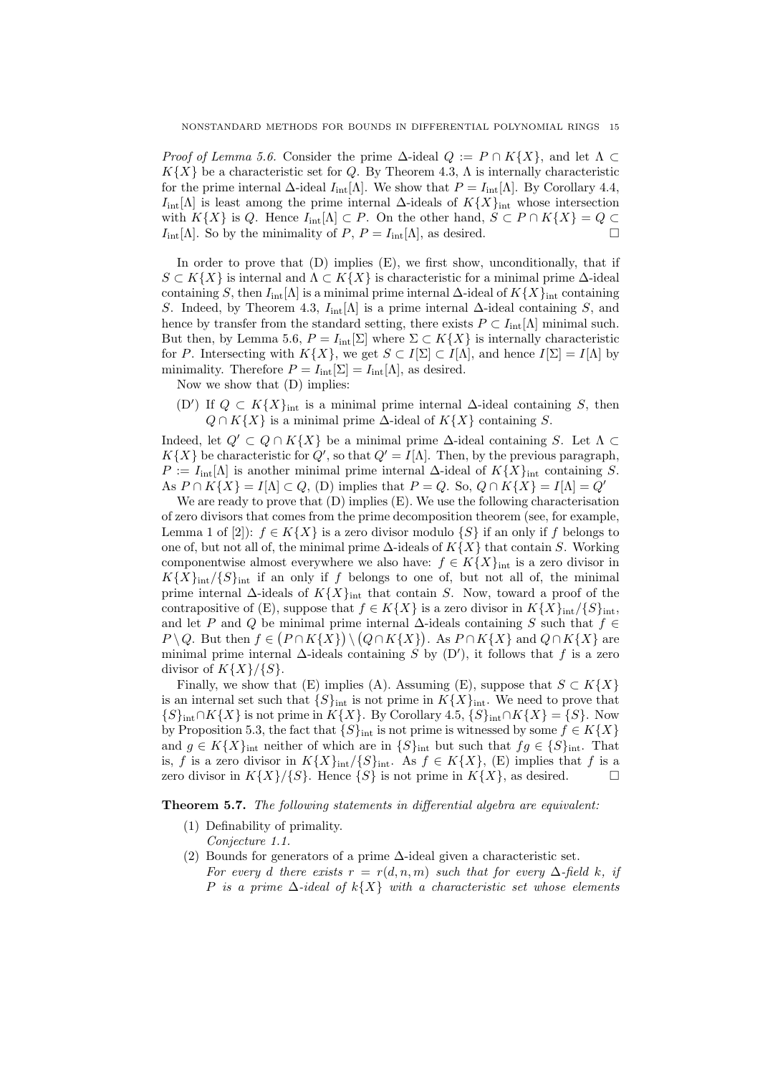*Proof of Lemma 5.6.* Consider the prime  $\Delta$ -ideal  $Q := P \cap K\{X\}$ , and let  $\Lambda \subset$  $K{X}$  be a characteristic set for Q. By Theorem 4.3,  $\Lambda$  is internally characteristic for the prime internal  $\Delta$ -ideal  $I_{int}[\Lambda]$ . We show that  $P = I_{int}[\Lambda]$ . By Corollary 4.4,  $I_{\text{int}}[\Lambda]$  is least among the prime internal  $\Delta$ -ideals of  $K\{X\}_{\text{int}}$  whose intersection with  $K\{X\}$  is Q. Hence  $I_{int}[\Lambda] \subset P$ . On the other hand,  $S \subset P \cap K\{X\} = Q \subset I_{int}[\Lambda]$  So by the minimality of  $P \cap P = I_{int}[\Lambda]$  as desired  $I_{\text{int}}[\Lambda]$ . So by the minimality of P,  $P = I_{\text{int}}[\Lambda]$ , as desired.

In order to prove that  $(D)$  implies  $(E)$ , we first show, unconditionally, that if  $S \subset K\{X\}$  is internal and  $\Lambda \subset K\{X\}$  is characteristic for a minimal prime  $\Delta$ -ideal containing S, then  $I_{\text{int}}[\Lambda]$  is a minimal prime internal  $\Delta$ -ideal of  $K\{X\}_{\text{int}}$  containing S. Indeed, by Theorem 4.3,  $I_{int}[\Lambda]$  is a prime internal  $\Delta$ -ideal containing S, and hence by transfer from the standard setting, there exists  $P \subset I_{int}[\Lambda]$  minimal such. But then, by Lemma 5.6,  $P = I_{int}[\Sigma]$  where  $\Sigma \subset K\{X\}$  is internally characteristic for P. Intersecting with  $K{X}$ , we get  $S \subset I[\Sigma] \subset I[\Lambda]$ , and hence  $I[\Sigma] = I[\Lambda]$  by minimality. Therefore  $P = I_{int}[\Sigma] = I_{int}[\Lambda]$ , as desired.

Now we show that (D) implies:

(D') If  $Q \subset K\{X\}_{\text{int}}$  is a minimal prime internal  $\Delta$ -ideal containing S, then  $Q \cap K\{X\}$  is a minimal prime  $\Delta$ -ideal of  $K\{X\}$  containing S.

Indeed, let  $Q' \subset Q \cap K\{X\}$  be a minimal prime  $\Delta$ -ideal containing S. Let  $\Lambda \subset$  $K{X}$  be characteristic for  $Q'$ , so that  $Q' = I[\Lambda]$ . Then, by the previous paragraph,  $P := I_{int}[\Lambda]$  is another minimal prime internal  $\Delta$ -ideal of  $K\{X\}_{int}$  containing S. As  $P \cap K\{X\} = I[\Lambda] \subset Q$ , (D) implies that  $P = Q$ . So,  $Q \cap K\{X\} = I[\Lambda] = Q'$ 

We are ready to prove that  $(D)$  implies  $(E)$ . We use the following characterisation of zero divisors that comes from the prime decomposition theorem (see, for example, Lemma 1 of [2]):  $f \in K\{X\}$  is a zero divisor modulo  $\{S\}$  if an only if f belongs to one of, but not all of, the minimal prime  $\Delta$ -ideals of  $K\{X\}$  that contain S. Working componentwise almost everywhere we also have:  $f \in K\{X\}_{\text{int}}$  is a zero divisor in  $K{X}_{\text{int}}/{S}_{\text{int}}$  if an only if f belongs to one of, but not all of, the minimal prime internal  $\Delta$ -ideals of  $K\{X\}_{\text{int}}$  that contain S. Now, toward a proof of the contrapositive of (E), suppose that  $f \in K\{X\}$  is a zero divisor in  $K\{X\}_{int}/\{S\}_{int}$ , and let P and Q be minimal prime internal  $\Delta$ -ideals containing S such that  $f \in$  $P \setminus Q$ . But then  $f \in (P \cap K\{X\}) \setminus (Q \cap K\{X\})$ . As  $P \cap K\{X\}$  and  $Q \cap K\{X\}$  are minimal prime internal  $\Delta$ -ideals containing S by (D'), it follows that f is a zero divisor of  $K{X}{\} / {S}.$ 

Finally, we show that (E) implies (A). Assuming (E), suppose that  $S \subset K\{X\}$ is an internal set such that  $\{S\}_{\text{int}}$  is not prime in  $K\{X\}_{\text{int}}$ . We need to prove that  ${S}_{\text{int}} \cap K{X}$  is not prime in  $K{X}$ . By Corollary 4.5,  ${S}_{\text{int}} \cap K{X} = {S}$ . Now by Proposition 5.3, the fact that  ${S}_{int}$  is not prime is witnessed by some  $f \in K{X}$ and  $g \in K\{X\}_{\text{int}}$  neither of which are in  $\{S\}_{\text{int}}$  but such that  $fg \in \{S\}_{\text{int}}$ . That is, f is a zero divisor in  $K\{X\}_{int}/\{S\}_{int}$ . As  $f \in K\{X\}$ , (E) implies that f is a zero divisor in  $K\{X\}/\{S\}$ . Hence  $\{S\}$  is not prime in  $K\{X\}$ , as desired.

Theorem 5.7. The following statements in differential algebra are equivalent:

- (1) Definability of primality. Conjecture 1.1.
- (2) Bounds for generators of a prime ∆-ideal given a characteristic set. For every d there exists  $r = r(d, n, m)$  such that for every  $\Delta$ -field k, if P is a prime  $\Delta$ -ideal of  $k\{X\}$  with a characteristic set whose elements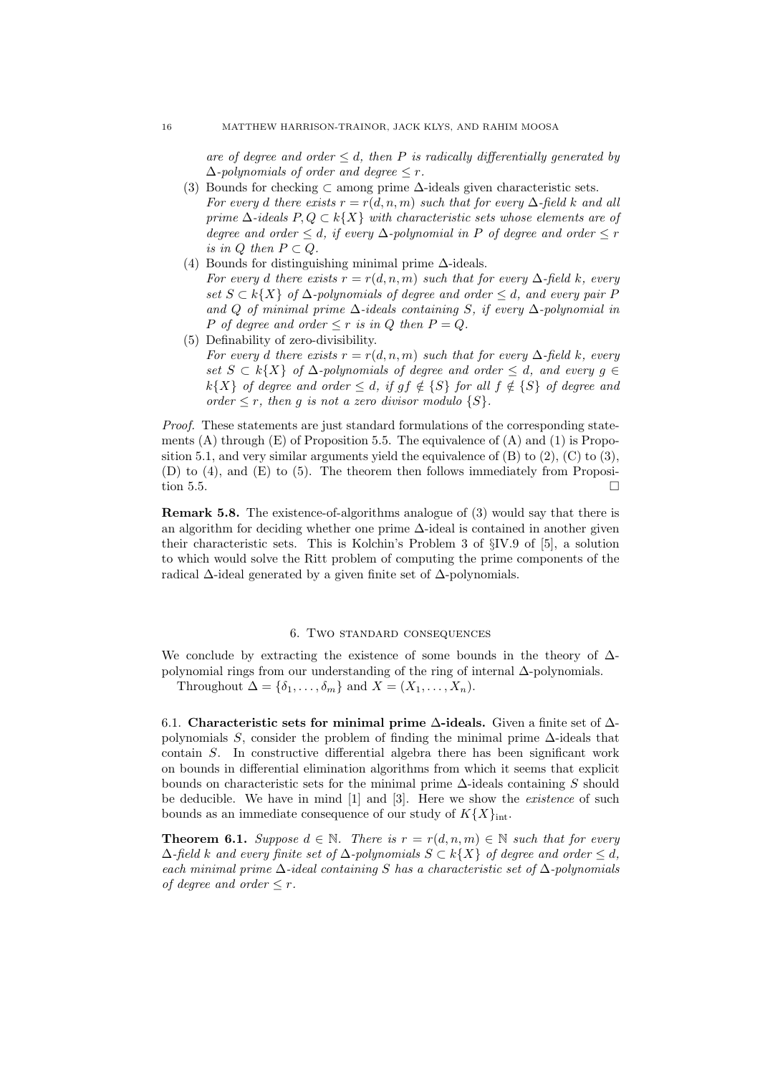are of degree and order  $\leq d$ , then P is radically differentially generated by  $\Delta$ -polynomials of order and degree  $\leq r$ .

- (3) Bounds for checking  $\subset$  among prime  $\Delta$ -ideals given characteristic sets. For every d there exists  $r = r(d, n, m)$  such that for every  $\Delta$ -field k and all prime  $\Delta$ -ideals  $P, Q \subset k\{X\}$  with characteristic sets whose elements are of degree and order  $\leq d$ , if every  $\Delta$ -polynomial in P of degree and order  $\leq r$ is in  $Q$  then  $P \subset Q$ .
- (4) Bounds for distinguishing minimal prime  $\Delta$ -ideals. For every d there exists  $r = r(d, n, m)$  such that for every  $\Delta$ -field k, every set  $S \subset k\{X\}$  of  $\Delta$ -polynomials of degree and order  $\leq d$ , and every pair P and Q of minimal prime  $\Delta$ -ideals containing S, if every  $\Delta$ -polynomial in P of degree and order  $\leq r$  is in Q then  $P = Q$ .
- (5) Definability of zero-divisibility. For every d there exists  $r = r(d, n, m)$  such that for every  $\Delta$ -field k, every set  $S \subset k\{X\}$  of  $\Delta$ -polynomials of degree and order  $\leq d$ , and every  $q \in$ k{X} of degree and order  $\leq d$ , if gf  $\notin$  {S} for all  $f \notin \{S\}$  of degree and order  $\leq r$ , then q is not a zero divisor modulo  $\{S\}$ .

Proof. These statements are just standard formulations of the corresponding statements  $(A)$  through  $(E)$  of Proposition 5.5. The equivalence of  $(A)$  and  $(1)$  is Proposition 5.1, and very similar arguments yield the equivalence of  $(B)$  to  $(2)$ ,  $(C)$  to  $(3)$ , (D) to (4), and (E) to (5). The theorem then follows immediately from Proposition 5.5.  $\Box$ 

Remark 5.8. The existence-of-algorithms analogue of (3) would say that there is an algorithm for deciding whether one prime  $\Delta$ -ideal is contained in another given their characteristic sets. This is Kolchin's Problem 3 of §IV.9 of [5], a solution to which would solve the Ritt problem of computing the prime components of the radical  $\Delta$ -ideal generated by a given finite set of  $\Delta$ -polynomials.

### 6. Two standard consequences

We conclude by extracting the existence of some bounds in the theory of  $\Delta$ polynomial rings from our understanding of the ring of internal ∆-polynomials.

Throughout  $\Delta = {\delta_1, \ldots, \delta_m}$  and  $X = (X_1, \ldots, X_n)$ .

6.1. Characteristic sets for minimal prime  $\Delta$ -ideals. Given a finite set of  $\Delta$ polynomials S, consider the problem of finding the minimal prime ∆-ideals that contain S. In constructive differential algebra there has been significant work on bounds in differential elimination algorithms from which it seems that explicit bounds on characteristic sets for the minimal prime  $\Delta$ -ideals containing S should be deducible. We have in mind [1] and [3]. Here we show the existence of such bounds as an immediate consequence of our study of  $K{X}_{\text{int}}$ .

**Theorem 6.1.** Suppose  $d \in \mathbb{N}$ . There is  $r = r(d, n, m) \in \mathbb{N}$  such that for every  $\Delta$ -field k and every finite set of  $\Delta$ -polynomials  $S \subset k\{X\}$  of degree and order < d, each minimal prime  $\Delta$ -ideal containing S has a characteristic set of  $\Delta$ -polynomials of degree and order  $\leq r$ .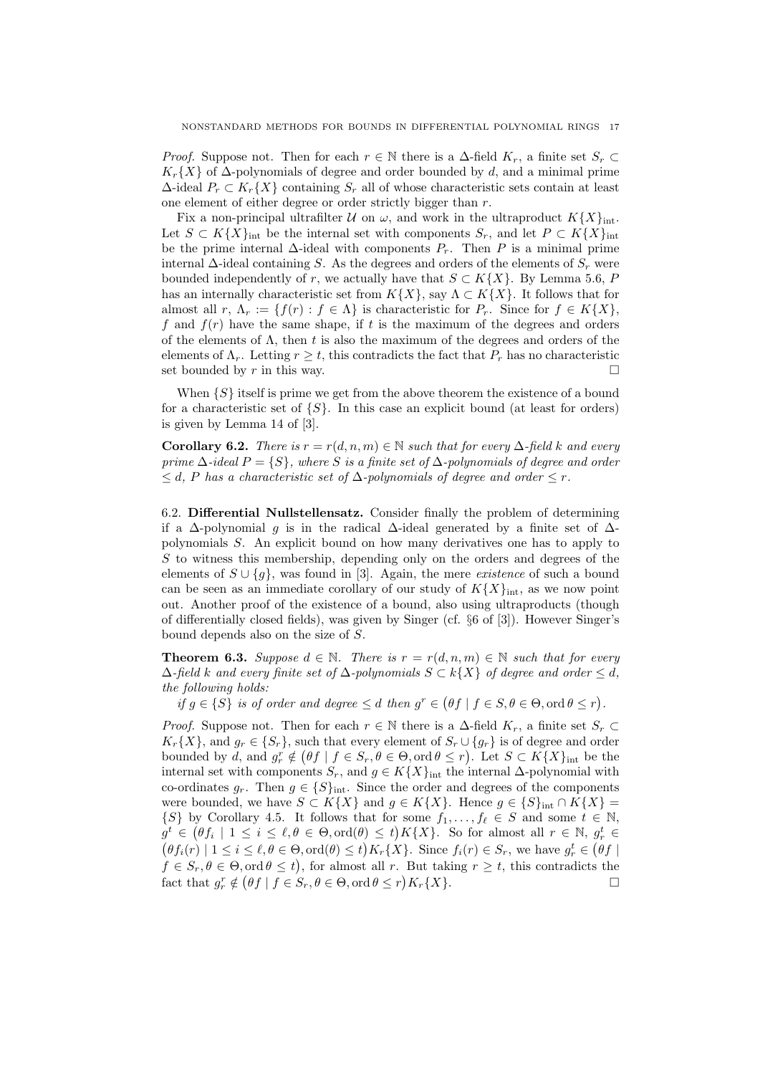*Proof.* Suppose not. Then for each  $r \in \mathbb{N}$  there is a  $\Delta$ -field  $K_r$ , a finite set  $S_r \subset$  $K_r\{X\}$  of  $\Delta$ -polynomials of degree and order bounded by d, and a minimal prime  $\Delta$ -ideal  $P_r \subset K_r\{X\}$  containing  $S_r$  all of whose characteristic sets contain at least one element of either degree or order strictly bigger than  $r$ .

Fix a non-principal ultrafilter U on  $\omega$ , and work in the ultraproduct  $K\{X\}_{\text{int}}$ . Let  $S \subset K\{X\}_{\text{int}}$  be the internal set with components  $S_r$ , and let  $P \subset K\{X\}_{\text{int}}$ be the prime internal  $\Delta$ -ideal with components  $P_r$ . Then P is a minimal prime internal  $\Delta$ -ideal containing S. As the degrees and orders of the elements of  $S_r$  were bounded independently of r, we actually have that  $S \subset K\{X\}$ . By Lemma 5.6, P has an internally characteristic set from  $K\{X\}$ , say  $\Lambda \subset K\{X\}$ . It follows that for almost all  $r, \Lambda_r := \{f(r) : f \in \Lambda\}$  is characteristic for  $P_r$ . Since for  $f \in K\{X\}$ , f and  $f(r)$  have the same shape, if t is the maximum of the degrees and orders of the elements of  $\Lambda$ , then t is also the maximum of the degrees and orders of the elements of  $\Lambda_r$ . Letting  $r \geq t$ , this contradicts the fact that  $P_r$  has no characteristic set bounded by r in this way.

When  $\{S\}$  itself is prime we get from the above theorem the existence of a bound for a characteristic set of  $\{S\}$ . In this case an explicit bound (at least for orders) is given by Lemma 14 of [3].

**Corollary 6.2.** There is  $r = r(d, n, m) \in \mathbb{N}$  such that for every  $\Delta$ -field k and every prime  $\Delta$ -ideal  $P = \{S\}$ , where S is a finite set of  $\Delta$ -polynomials of degree and order  $\leq d$ , P has a characteristic set of  $\Delta$ -polynomials of degree and order  $\leq r$ .

6.2. Differential Nullstellensatz. Consider finally the problem of determining if a  $\Delta$ -polynomial g is in the radical  $\Delta$ -ideal generated by a finite set of  $\Delta$ polynomials S. An explicit bound on how many derivatives one has to apply to  $S$  to witness this membership, depending only on the orders and degrees of the elements of  $S \cup \{g\}$ , was found in [3]. Again, the mere *existence* of such a bound can be seen as an immediate corollary of our study of  $K\{X\}_{\text{int}}$ , as we now point out. Another proof of the existence of a bound, also using ultraproducts (though of differentially closed fields), was given by Singer (cf. §6 of [3]). However Singer's bound depends also on the size of S.

**Theorem 6.3.** Suppose  $d \in \mathbb{N}$ . There is  $r = r(d, n, m) \in \mathbb{N}$  such that for every  $\Delta$ -field k and every finite set of  $\Delta$ -polynomials  $S \subset k\{X\}$  of degree and order  $\leq d$ , the following holds:

if  $g \in \{S\}$  is of order and degree  $\leq d$  then  $g^r \in (\theta f \mid f \in S, \theta \in \Theta, \text{ord } \theta \leq r)$ .

*Proof.* Suppose not. Then for each  $r \in \mathbb{N}$  there is a  $\Delta$ -field  $K_r$ , a finite set  $S_r \subset$  $K_r\{X\}$ , and  $g_r \in \{S_r\}$ , such that every element of  $S_r \cup \{g_r\}$  is of degree and order bounded by d, and  $g_r^r \notin (\theta f \mid f \in S_r, \theta \in \Theta, \text{ord } \theta \leq r)$ . Let  $S \subset K\{X\}_{\text{int}}$  be the internal set with components  $S_r$ , and  $g \in K\{X\}_{\text{int}}$  the internal  $\Delta$ -polynomial with co-ordinates  $g_r$ . Then  $g \in \{S\}_{\text{int}}$ . Since the order and degrees of the components were bounded, we have  $S \subset K\{X\}$  and  $g \in K\{X\}$ . Hence  $g \in \{S\}_{\text{int}} \cap K\{X\}$  $\{S\}$  by Corollary 4.5. It follows that for some  $f_1, \ldots, f_\ell \in S$  and some  $t \in \mathbb{N}$ ,  $g^t \in (\theta f_i \mid 1 \leq i \leq \ell, \theta \in \Theta, \text{ord}(\theta) \leq t)K\{X\}.$  So for almost all  $r \in \mathbb{N}, g^t_r \in$  $(\theta f_i(r) | 1 \leq i \leq \ell, \theta \in \Theta, \text{ord}(\theta) \leq t) K_r\{X\}.$  Since  $f_i(r) \in S_r$ , we have  $g_r^t \in (\theta f |$  $f \in S_r, \theta \in \Theta$ , ord  $\theta \leq t$ , for almost all r. But taking  $r \geq t$ , this contradicts the fact that  $g_r^r \notin (\theta f \mid f \in S_r, \theta \in \Theta, \text{ord}\,\theta \leq r)K_r\{X\}.$